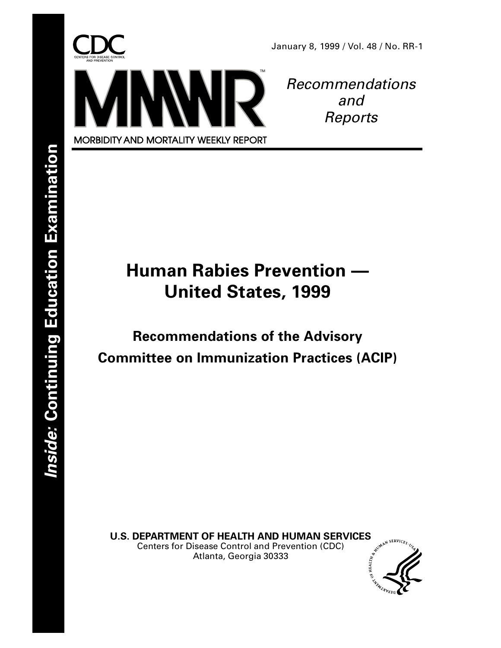

Recommendations and Reports

# **Human Rabies Prevention — United States, 1999**

**Recommendations of the Advisory Committee on Immunization Practices (ACIP)**

**U.S. DEPARTMENT OF HEALTH AND HUMAN SERVICES**<br>Centers for Disease Control and Prevention (CDC)<br>Atlanta, Georgia 30332 Centers for Disease Control and Prevention (CDC) Atlanta, Georgia 30333

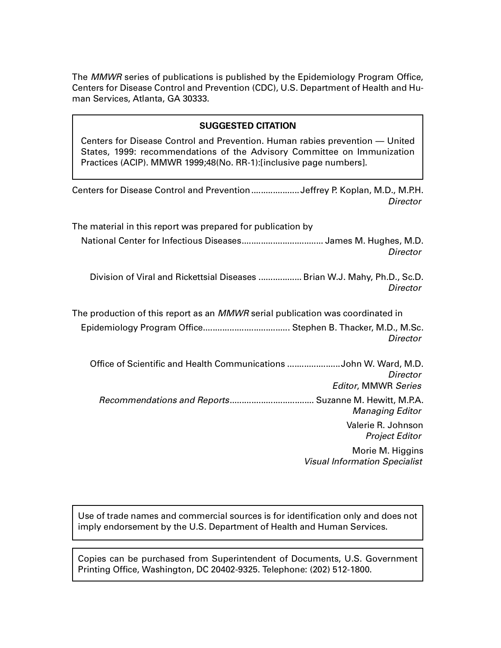The MMWR series of publications is published by the Epidemiology Program Office, Centers for Disease Control and Prevention (CDC), U.S. Department of Health and Human Services, Atlanta, GA 30333.

### **SUGGESTED CITATION**

Centers for Disease Control and Prevention. Human rabies prevention — United States, 1999: recommendations of the Advisory Committee on Immunization Practices (ACIP). MMWR 1999;48(No. RR-1):[inclusive page numbers].

| Centers for Disease Control and Prevention Jeffrey P. Koplan, M.D., M.P.H.<br><b>Director</b> |
|-----------------------------------------------------------------------------------------------|
| The material in this report was prepared for publication by                                   |
| Director                                                                                      |
| Division of Viral and Rickettsial Diseases  Brian W.J. Mahy, Ph.D., Sc.D.<br><b>Director</b>  |
| The production of this report as an <i>MMWR</i> serial publication was coordinated in         |
| Director                                                                                      |
| Office of Scientific and Health Communications John W. Ward, M.D.<br>Director                 |
| <b>Editor, MMWR Series</b>                                                                    |
| <b>Managing Editor</b>                                                                        |
| Valerie R. Johnson<br><b>Project Editor</b>                                                   |
| Morie M. Higgins                                                                              |
| <b>Visual Information Specialist</b>                                                          |

Use of trade names and commercial sources is for identification only and does not imply endorsement by the U.S. Department of Health and Human Services.

Copies can be purchased from Superintendent of Documents, U.S. Government Printing Office, Washington, DC 20402-9325. Telephone: (202) 512-1800.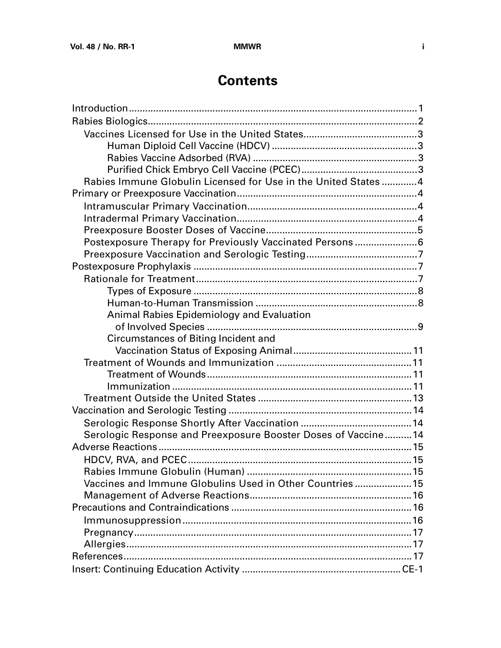# **Contents**

| Rabies Immune Globulin Licensed for Use in the United States4  |  |
|----------------------------------------------------------------|--|
|                                                                |  |
|                                                                |  |
|                                                                |  |
|                                                                |  |
| Postexposure Therapy for Previously Vaccinated Persons6        |  |
|                                                                |  |
|                                                                |  |
|                                                                |  |
|                                                                |  |
|                                                                |  |
| Animal Rabies Epidemiology and Evaluation                      |  |
|                                                                |  |
| Circumstances of Biting Incident and                           |  |
|                                                                |  |
|                                                                |  |
|                                                                |  |
|                                                                |  |
|                                                                |  |
|                                                                |  |
|                                                                |  |
| Serologic Response and Preexposure Booster Doses of Vaccine 14 |  |
|                                                                |  |
|                                                                |  |
|                                                                |  |
| Vaccines and Immune Globulins Used in Other Countries 15       |  |
|                                                                |  |
|                                                                |  |
|                                                                |  |
|                                                                |  |
|                                                                |  |
|                                                                |  |
|                                                                |  |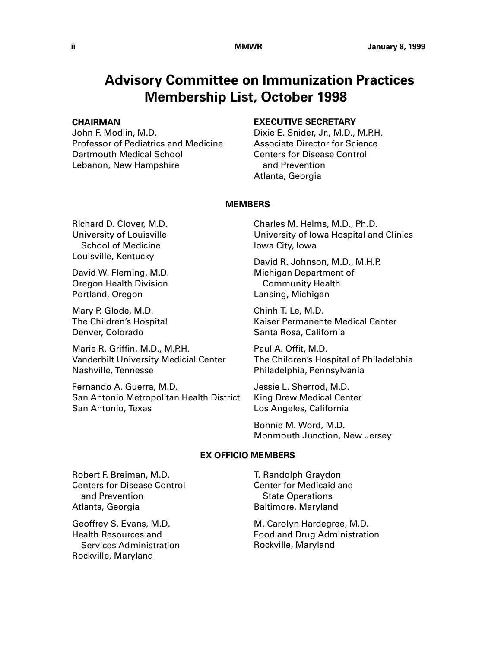# **Advisory Committee on Immunization Practices Membership List, October 1998**

### **CHAIRMAN**

John F. Modlin, M.D. Professor of Pediatrics and Medicine Dartmouth Medical School Lebanon, New Hampshire

### **EXECUTIVE SECRETARY**

Dixie E. Snider, Jr., M.D., M.P.H. Associate Director for Science Centers for Disease Control and Prevention Atlanta, Georgia

### **MEMBERS**

Richard D. Clover, M.D. University of Louisville School of Medicine Louisville, Kentucky

David W. Fleming, M.D. Oregon Health Division Portland, Oregon

Mary P. Glode, M.D. The Children's Hospital Denver, Colorado

Marie R. Griffin, M.D., M.P.H. Vanderbilt University Medicial Center Nashville, Tennesse

Fernando A. Guerra, M.D. San Antonio Metropolitan Health District San Antonio, Texas

Charles M. Helms, M.D., Ph.D. University of Iowa Hospital and Clinics Iowa City, Iowa

David R. Johnson, M.D., M.H.P. Michigan Department of Community Health Lansing, Michigan

Chinh T. Le, M.D. Kaiser Permanente Medical Center Santa Rosa, California

Paul A. Offit, M.D. The Children's Hospital of Philadelphia Philadelphia, Pennsylvania

Jessie L. Sherrod, M.D. King Drew Medical Center Los Angeles, California

Bonnie M. Word, M.D. Monmouth Junction, New Jersey

### **EX OFFICIO MEMBERS**

Robert F. Breiman, M.D. Centers for Disease Control and Prevention Atlanta, Georgia

Geoffrey S. Evans, M.D. Health Resources and Services Administration Rockville, Maryland

T. Randolph Graydon Center for Medicaid and State Operations Baltimore, Maryland

M. Carolyn Hardegree, M.D. Food and Drug Administration Rockville, Maryland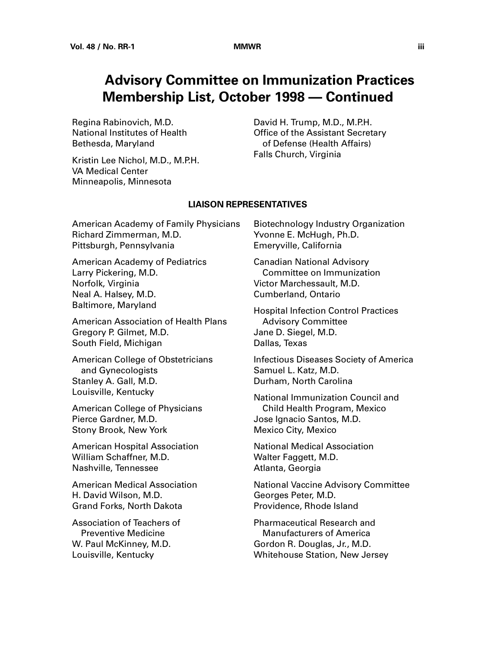# **Advisory Committee on Immunization Practices Membership List, October 1998 — Continued**

Regina Rabinovich, M.D. National Institutes of Health Bethesda, Maryland

Kristin Lee Nichol, M.D., M.P.H. VA Medical Center Minneapolis, Minnesota

David H. Trump, M.D., M.P.H. Office of the Assistant Secretary of Defense (Health Affairs) Falls Church, Virginia

### **LIAISON REPRESENTATIVES**

American Academy of Family Physicians Richard Zimmerman, M.D. Pittsburgh, Pennsylvania

American Academy of Pediatrics Larry Pickering, M.D. Norfolk, Virginia Neal A. Halsey, M.D. Baltimore, Maryland

American Association of Health Plans Gregory P. Gilmet, M.D. South Field, Michigan

American College of Obstetricians and Gynecologists Stanley A. Gall, M.D. Louisville, Kentucky

American College of Physicians Pierce Gardner, M.D. Stony Brook, New York

American Hospital Association William Schaffner, M.D. Nashville, Tennessee

American Medical Association H. David Wilson, M.D. Grand Forks, North Dakota

Association of Teachers of Preventive Medicine W. Paul McKinney, M.D. Louisville, Kentucky

Biotechnology Industry Organization Yvonne E. McHugh, Ph.D. Emeryville, California

Canadian National Advisory Committee on Immunization Victor Marchessault, M.D. Cumberland, Ontario

Hospital Infection Control Practices Advisory Committee Jane D. Siegel, M.D. Dallas, Texas

Infectious Diseases Society of America Samuel L. Katz, M.D. Durham, North Carolina

National Immunization Council and Child Health Program, Mexico Jose Ignacio Santos, M.D. Mexico City, Mexico

National Medical Association Walter Faggett, M.D. Atlanta, Georgia

National Vaccine Advisory Committee Georges Peter, M.D. Providence, Rhode Island

Pharmaceutical Research and Manufacturers of America Gordon R. Douglas, Jr., M.D. Whitehouse Station, New Jersey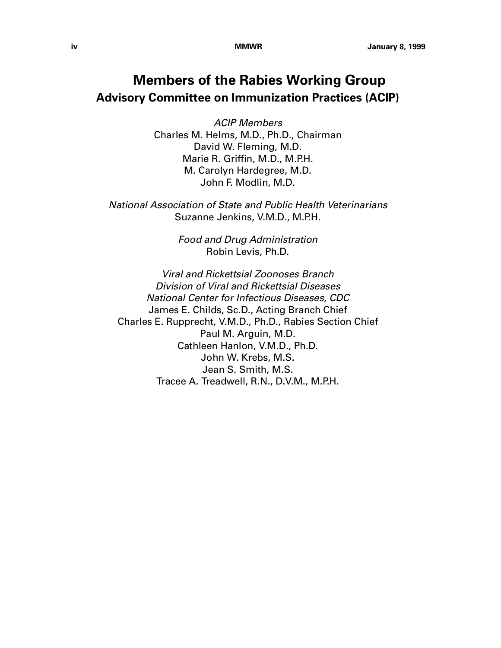# **Members of the Rabies Working Group Advisory Committee on Immunization Practices (ACIP)**

ACIP Members Charles M. Helms, M.D., Ph.D., Chairman David W. Fleming, M.D. Marie R. Griffin, M.D., M.P.H. M. Carolyn Hardegree, M.D. John F. Modlin, M.D.

National Association of State and Public Health Veterinarians Suzanne Jenkins, V.M.D., M.P.H.

> Food and Drug Administration Robin Levis, Ph.D.

Viral and Rickettsial Zoonoses Branch Division of Viral and Rickettsial Diseases National Center for Infectious Diseases, CDC James E. Childs, Sc.D., Acting Branch Chief Charles E. Rupprecht, V.M.D., Ph.D., Rabies Section Chief Paul M. Arguin, M.D. Cathleen Hanlon, V.M.D., Ph.D. John W. Krebs, M.S. Jean S. Smith, M.S. Tracee A. Treadwell, R.N., D.V.M., M.P.H.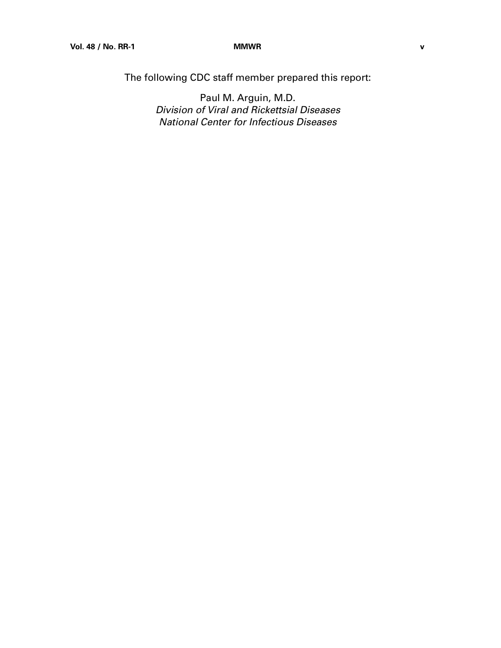The following CDC staff member prepared this report:

Paul M. Arguin, M.D. Division of Viral and Rickettsial Diseases National Center for Infectious Diseases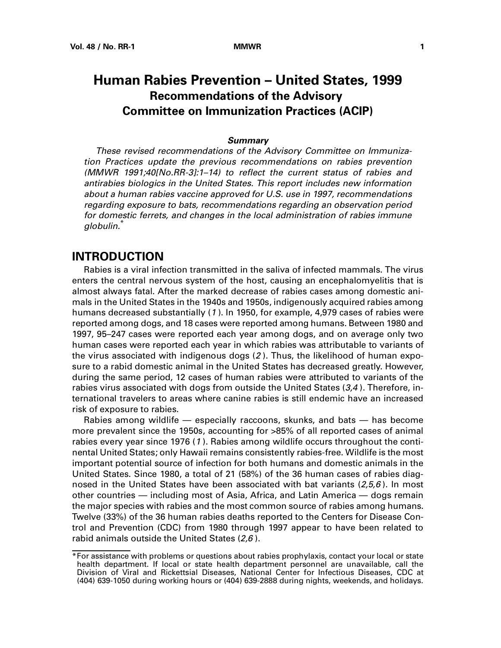# <span id="page-8-0"></span>**Human Rabies Prevention – United States, 1999 Recommendations of the Advisory Committee on Immunization Practices (ACIP)**

### **Summary**

These revised recommendations of the Advisory Committee on Immunization Practices update the previous recommendations on rabies prevention (MMWR 1991;40[No.RR-3]:1–14) to reflect the current status of rabies and antirabies biologics in the United States. This report includes new information about a human rabies vaccine approved for U.S. use in 1997, recommendations regarding exposure to bats, recommendations regarding an observation period for domestic ferrets, and changes in the local administration of rabies immune globulin.

# **INTRODUCTION**

Rabies is a viral infection transmitted in the saliva of infected mammals. The virus enters the central nervous system of the host, causing an encephalomyelitis that is almost always fatal. After the marked decrease of rabies cases among domestic animals in the United States in the 1940s and 1950s, indigenously acquired rabies among humans decreased substantially (1). In 1950, for example, 4,979 cases of rabies were reported among dogs, and 18 cases were reported among humans. Between 1980 and 1997, 95–247 cases were reported each year among dogs, and on average only two human cases were reported each year in which rabies was attributable to variants of the virus associated with indigenous dogs (2 ). Thus, the likelihood of human exposure to a rabid domestic animal in the United States has decreased greatly. However, during the same period, 12 cases of human rabies were attributed to variants of the rabies virus associated with dogs from outside the United States  $(3,4)$ . Therefore, international travelers to areas where canine rabies is still endemic have an increased risk of exposure to rabies.

Rabies among wildlife — especially raccoons, skunks, and bats — has become more prevalent since the 1950s, accounting for >85% of all reported cases of animal rabies every year since 1976 (1). Rabies among wildlife occurs throughout the continental United States; only Hawaii remains consistently rabies-free. Wildlife is the most important potential source of infection for both humans and domestic animals in the United States. Since 1980, a total of 21 (58%) of the 36 human cases of rabies diagnosed in the United States have been associated with bat variants  $(2,5,6)$ . In most other countries — including most of Asia, Africa, and Latin America — dogs remain the major species with rabies and the most common source of rabies among humans. Twelve (33%) of the 36 human rabies deaths reported to the Centers for Disease Control and Prevention (CDC) from 1980 through 1997 appear to have been related to rabid animals outside the United States (2,6 ).

<sup>\*</sup>For assistance with problems or questions about rabies prophylaxis, contact your local or state health department. If local or state health department personnel are unavailable, call the Division of Viral and Rickettsial Diseases, National Center for Infectious Diseases, CDC at (404) 639-1050 during working hours or (404) 639-2888 during nights, weekends, and holidays.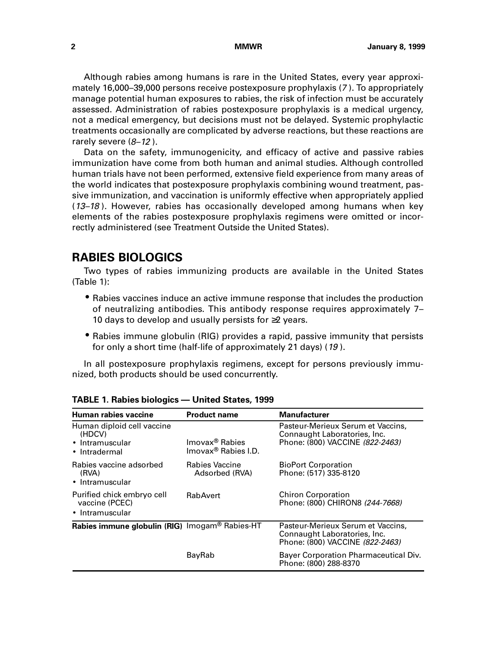<span id="page-9-0"></span>Although rabies among humans is rare in the United States, every year approximately 16,000–39,000 persons receive postexposure prophylaxis (7 ). To appropriately manage potential human exposures to rabies, the risk of infection must be accurately assessed. Administration of rabies postexposure prophylaxis is a medical urgency, not a medical emergency, but decisions must not be delayed. Systemic prophylactic treatments occasionally are complicated by adverse reactions, but these reactions are rarely severe (8–12 ).

Data on the safety, immunogenicity, and efficacy of active and passive rabies immunization have come from both human and animal studies. Although controlled human trials have not been performed, extensive field experience from many areas of the world indicates that postexposure prophylaxis combining wound treatment, passive immunization, and vaccination is uniformly effective when appropriately applied (13–18 ). However, rabies has occasionally developed among humans when key elements of the rabies postexposure prophylaxis regimens were omitted or incorrectly administered (see Treatment Outside the United States).

# **RABIES BIOLOGICS**

Two types of rabies immunizing products are available in the United States (Table 1):

- Rabies vaccines induce an active immune response that includes the production of neutralizing antibodies. This antibody response requires approximately 7– 10 days to develop and usually persists for ≥2 years.
- Rabies immune globulin (RIG) provides a rapid, passive immunity that persists for only a short time (half-life of approximately 21 days) (19 ).

In all postexposure prophylaxis regimens, except for persons previously immunized, both products should be used concurrently.

| Human rabies vaccine                                                     | <b>Product name</b>                                           | <b>Manufacturer</b>                                                                                  |
|--------------------------------------------------------------------------|---------------------------------------------------------------|------------------------------------------------------------------------------------------------------|
| Human diploid cell vaccine<br>(HDCV)<br>• Intramuscular<br>• Intradermal | Imovax <sup>®</sup> Rabies<br>Imovax <sup>®</sup> Rabies I.D. | Pasteur-Merieux Serum et Vaccins,<br>Connaught Laboratories, Inc.<br>Phone: (800) VACCINE (822-2463) |
| Rabies vaccine adsorbed<br>(RVA)<br>• Intramuscular                      | <b>Rabies Vaccine</b><br>Adsorbed (RVA)                       | <b>BioPort Corporation</b><br>Phone: (517) 335-8120                                                  |
| Purified chick embryo cell<br>vaccine (PCEC)<br>• Intramuscular          | RabAvert™                                                     | <b>Chiron Corporation</b><br>Phone: (800) CHIRON8 (244-7668)                                         |
| Rabies immune globulin (RIG) Imogam® Rabies-HT                           |                                                               | Pasteur-Merieux Serum et Vaccins,<br>Connaught Laboratories, Inc.<br>Phone: (800) VACCINE (822-2463) |
|                                                                          | BayRab™                                                       | Bayer Corporation Pharmaceutical Div.<br>Phone: (800) 288-8370                                       |

**TABLE 1. Rabies biologics — United States, 1999**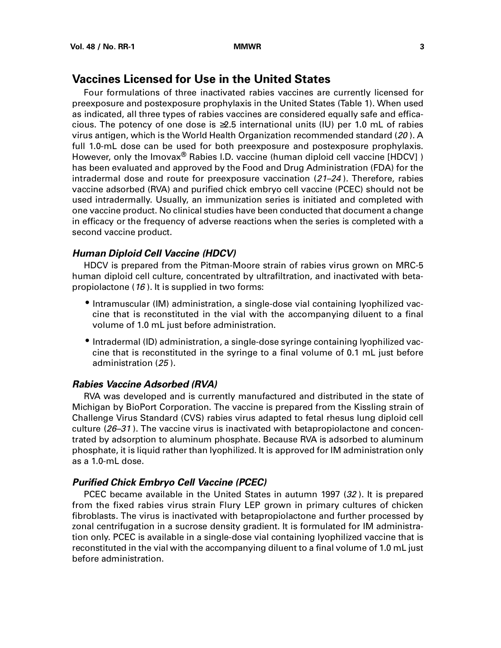# <span id="page-10-0"></span>**Vaccines Licensed for Use in the United States**

Four formulations of three inactivated rabies vaccines are currently licensed for preexposure and postexposure prophylaxis in the United States (Table 1). When used as indicated, all three types of rabies vaccines are considered equally safe and efficacious. The potency of one dose is  $\geq 2.5$  international units (IU) per 1.0 mL of rabies virus antigen, which is the World Health Organization recommended standard (20 ). A full 1.0-mL dose can be used for both preexposure and postexposure prophylaxis. However, only the Imovax<sup>®</sup> Rabies I.D. vaccine (human diploid cell vaccine [HDCV]) has been evaluated and approved by the Food and Drug Administration (FDA) for the intradermal dose and route for preexposure vaccination  $(21-24)$ . Therefore, rabies vaccine adsorbed (RVA) and purified chick embryo cell vaccine (PCEC) should not be used intradermally. Usually, an immunization series is initiated and completed with one vaccine product. No clinical studies have been conducted that document a change in efficacy or the frequency of adverse reactions when the series is completed with a second vaccine product.

### **Human Diploid Cell Vaccine (HDCV)**

HDCV is prepared from the Pitman-Moore strain of rabies virus grown on MRC-5 human diploid cell culture, concentrated by ultrafiltration, and inactivated with betapropiolactone (16 ). It is supplied in two forms:

- Intramuscular (IM) administration, a single-dose vial containing lyophilized vaccine that is reconstituted in the vial with the accompanying diluent to a final volume of 1.0 mL just before administration.
- Intradermal (ID) administration, a single-dose syringe containing lyophilized vaccine that is reconstituted in the syringe to a final volume of 0.1 mL just before administration (25 ).

### **Rabies Vaccine Adsorbed (RVA)**

RVA was developed and is currently manufactured and distributed in the state of Michigan by BioPort Corporation. The vaccine is prepared from the Kissling strain of Challenge Virus Standard (CVS) rabies virus adapted to fetal rhesus lung diploid cell culture (26–31 ). The vaccine virus is inactivated with betapropiolactone and concentrated by adsorption to aluminum phosphate. Because RVA is adsorbed to aluminum phosphate, it is liquid rather than lyophilized. It is approved for IM administration only as a 1.0-mL dose.

### **Purified Chick Embryo Cell Vaccine (PCEC)**

PCEC became available in the United States in autumn 1997 (32). It is prepared from the fixed rabies virus strain Flury LEP grown in primary cultures of chicken fibroblasts. The virus is inactivated with betapropiolactone and further processed by zonal centrifugation in a sucrose density gradient. It is formulated for IM administration only. PCEC is available in a single-dose vial containing lyophilized vaccine that is reconstituted in the vial with the accompanying diluent to a final volume of 1.0 mL just before administration.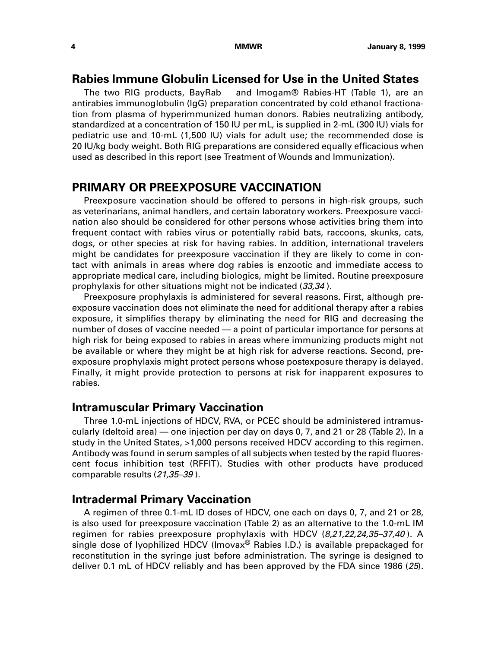# <span id="page-11-0"></span>**Rabies Immune Globulin Licensed for Use in the United States**

The two RIG products, BayRab™ and Imogam® Rabies-HT (Table 1), are an antirabies immunoglobulin (IgG) preparation concentrated by cold ethanol fractionation from plasma of hyperimmunized human donors. Rabies neutralizing antibody, standardized at a concentration of 150 IU per mL, is supplied in 2-mL (300 IU) vials for pediatric use and 10-mL (1,500 IU) vials for adult use; the recommended dose is 20 IU/kg body weight. Both RIG preparations are considered equally efficacious when used as described in this report (see Treatment of Wounds and Immunization).

## **PRIMARY OR PREEXPOSURE VACCINATION**

Preexposure vaccination should be offered to persons in high-risk groups, such as veterinarians, animal handlers, and certain laboratory workers. Preexposure vaccination also should be considered for other persons whose activities bring them into frequent contact with rabies virus or potentially rabid bats, raccoons, skunks, cats, dogs, or other species at risk for having rabies. In addition, international travelers might be candidates for preexposure vaccination if they are likely to come in contact with animals in areas where dog rabies is enzootic and immediate access to appropriate medical care, including biologics, might be limited. Routine preexposure prophylaxis for other situations might not be indicated (33,34 ).

Preexposure prophylaxis is administered for several reasons. First, although preexposure vaccination does not eliminate the need for additional therapy after a rabies exposure, it simplifies therapy by eliminating the need for RIG and decreasing the number of doses of vaccine needed — a point of particular importance for persons at high risk for being exposed to rabies in areas where immunizing products might not be available or where they might be at high risk for adverse reactions. Second, preexposure prophylaxis might protect persons whose postexposure therapy is delayed. Finally, it might provide protection to persons at risk for inapparent exposures to rabies.

# **Intramuscular Primary Vaccination**

Three 1.0-mL injections of HDCV, RVA, or PCEC should be administered intramuscularly (deltoid area) — one injection per day on days 0, 7, and 21 or 28 (Table 2). In a study in the United States, >1,000 persons received HDCV according to this regimen. Antibody was found in serum samples of all subjects when tested by the rapid fluorescent focus inhibition test (RFFIT). Studies with other products have produced comparable results (21,35–39 ).

### **Intradermal Primary Vaccination**

A regimen of three 0.1-mL ID doses of HDCV, one each on days 0, 7, and 21 or 28, is also used for preexposure vaccination (Table 2) as an alternative to the 1.0-mL IM regimen for rabies preexposure prophylaxis with HDCV (8,21,22,24,35-37,40). A single dose of lyophilized HDCV (Imovax<sup>®</sup> Rabies I.D.) is available prepackaged for reconstitution in the syringe just before administration. The syringe is designed to deliver 0.1 mL of HDCV reliably and has been approved by the FDA since 1986 (25).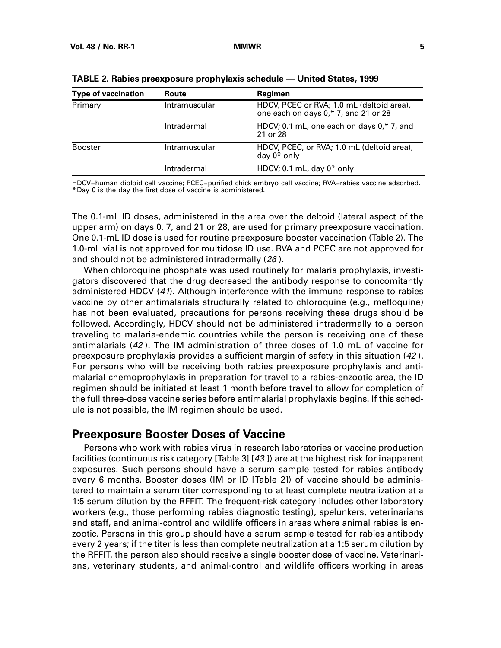| <b>Type of vaccination</b> | Route         | Regimen                                                                           |
|----------------------------|---------------|-----------------------------------------------------------------------------------|
| Primary                    | Intramuscular | HDCV, PCEC or RVA; 1.0 mL (deltoid area),<br>one each on days 0,* 7, and 21 or 28 |
|                            | Intradermal   | HDCV; 0.1 mL, one each on days $0, *$ 7, and<br>21 or 28                          |
| <b>Booster</b>             | Intramuscular | HDCV, PCEC, or RVA; 1.0 mL (deltoid area),<br>day $0^*$ only                      |
|                            | Intradermal   | HDCV; 0.1 mL, day 0* only                                                         |

**TABLE 2. Rabies preexposure prophylaxis schedule — United States, 1999**

HDCV=human diploid cell vaccine; PCEC=purified chick embryo cell vaccine; RVA=rabies vaccine adsorbed. \* Day 0 is the day the first dose of vaccine is administered.

The 0.1-mL ID doses, administered in the area over the deltoid (lateral aspect of the upper arm) on days 0, 7, and 21 or 28, are used for primary preexposure vaccination. One 0.1-mL ID dose is used for routine preexposure booster vaccination (Table 2). The 1.0-mL vial is not approved for multidose ID use. RVA and PCEC are not approved for and should not be administered intradermally (26 ).

When chloroquine phosphate was used routinely for malaria prophylaxis, investigators discovered that the drug decreased the antibody response to concomitantly administered HDCV (41). Although interference with the immune response to rabies vaccine by other antimalarials structurally related to chloroquine (e.g., mefloquine) has not been evaluated, precautions for persons receiving these drugs should be followed. Accordingly, HDCV should not be administered intradermally to a person traveling to malaria-endemic countries while the person is receiving one of these antimalarials (42 ). The IM administration of three doses of 1.0 mL of vaccine for preexposure prophylaxis provides a sufficient margin of safety in this situation (42 ). For persons who will be receiving both rabies preexposure prophylaxis and antimalarial chemoprophylaxis in preparation for travel to a rabies-enzootic area, the ID regimen should be initiated at least 1 month before travel to allow for completion of the full three-dose vaccine series before antimalarial prophylaxis begins. If this schedule is not possible, the IM regimen should be used.

# **Preexposure Booster Doses of Vaccine**

Persons who work with rabies virus in research laboratories or vaccine production facilities (continuous risk category [Table 3] [43 ]) are at the highest risk for inapparent exposures. Such persons should have a serum sample tested for rabies antibody every 6 months. Booster doses (IM or ID [Table 2]) of vaccine should be administered to maintain a serum titer corresponding to at least complete neutralization at a 1:5 serum dilution by the RFFIT. The frequent-risk category includes other laboratory workers (e.g., those performing rabies diagnostic testing), spelunkers, veterinarians and staff, and animal-control and wildlife officers in areas where animal rabies is enzootic. Persons in this group should have a serum sample tested for rabies antibody every 2 years; if the titer is less than complete neutralization at a 1:5 serum dilution by the RFFIT, the person also should receive a single booster dose of vaccine. Veterinarians, veterinary students, and animal-control and wildlife officers working in areas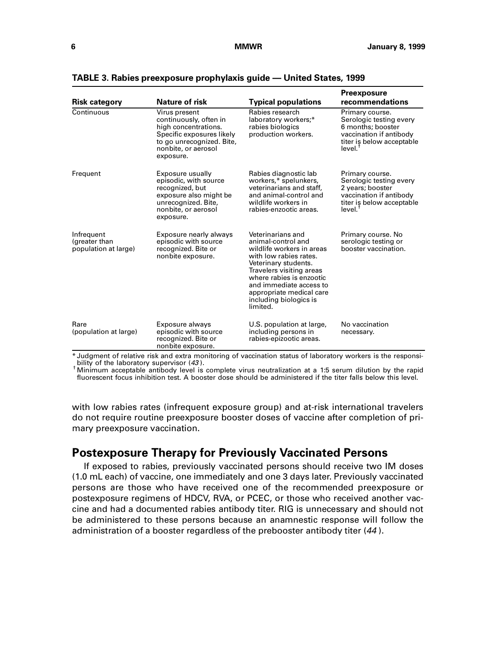| <b>Risk category</b>                                | Nature of risk                                                                                                                                                | <b>Typical populations</b>                                                                                                                                                                                                                                                  | <b>Preexposure</b><br>recommendations                                                                                                           |
|-----------------------------------------------------|---------------------------------------------------------------------------------------------------------------------------------------------------------------|-----------------------------------------------------------------------------------------------------------------------------------------------------------------------------------------------------------------------------------------------------------------------------|-------------------------------------------------------------------------------------------------------------------------------------------------|
| Continuous                                          | Virus present<br>continuously, often in<br>high concentrations.<br>Specific exposures likely<br>to go unrecognized. Bite,<br>nonbite, or aerosol<br>exposure. | Rabies research<br>laboratory workers;*<br>rabies biologics<br>production workers.                                                                                                                                                                                          | Primary course.<br>Serologic testing every<br>6 months; booster<br>vaccination if antibody<br>titer is below acceptable<br>level. <sup>†</sup>  |
| Frequent                                            | Exposure usually<br>episodic, with source<br>recognized, but<br>exposure also might be<br>unrecognized. Bite,<br>nonbite, or aerosol<br>exposure.             | Rabies diagnostic lab<br>workers,* spelunkers,<br>veterinarians and staff,<br>and animal-control and<br>wildlife workers in<br>rabies-enzootic areas.                                                                                                                       | Primary course.<br>Serologic testing every<br>2 years; booster<br>vaccination if antibody<br>titer is below acceptable<br>$level.$ <sup>T</sup> |
| Infrequent<br>(greater than<br>population at large) | Exposure nearly always<br>episodic with source<br>recognized. Bite or<br>nonbite exposure.                                                                    | Veterinarians and<br>animal-control and<br>wildlife workers in areas<br>with low rabies rates.<br>Veterinary students.<br>Travelers visiting areas<br>where rabies is enzootic<br>and immediate access to<br>appropriate medical care<br>including biologics is<br>limited. | Primary course. No<br>serologic testing or<br>booster vaccination.                                                                              |
| Rare<br>(population at large)                       | Exposure always<br>episodic with source<br>recognized. Bite or<br>nonbite exposure.                                                                           | U.S. population at large,<br>including persons in<br>rabies-epizootic areas.                                                                                                                                                                                                | No vaccination<br>necessary.                                                                                                                    |

<span id="page-13-0"></span>**TABLE 3. Rabies preexposure prophylaxis guide — United States, 1999**

\* Judgment of relative risk and extra monitoring of vaccination status of laboratory workers is the responsi-

bility of the laboratory supervisor (43 ). † Minimum acceptable antibody level is complete virus neutralization at a 1:5 serum dilution by the rapid fluorescent focus inhibition test. A booster dose should be administered if the titer falls below this level.

with low rabies rates (infrequent exposure group) and at-risk international travelers do not require routine preexposure booster doses of vaccine after completion of primary preexposure vaccination.

# **Postexposure Therapy for Previously Vaccinated Persons**

If exposed to rabies, previously vaccinated persons should receive two IM doses (1.0 mL each) of vaccine, one immediately and one 3 days later. Previously vaccinated persons are those who have received one of the recommended preexposure or postexposure regimens of HDCV, RVA, or PCEC, or those who received another vaccine and had a documented rabies antibody titer. RIG is unnecessary and should not be administered to these persons because an anamnestic response will follow the administration of a booster regardless of the prebooster antibody titer (44 ).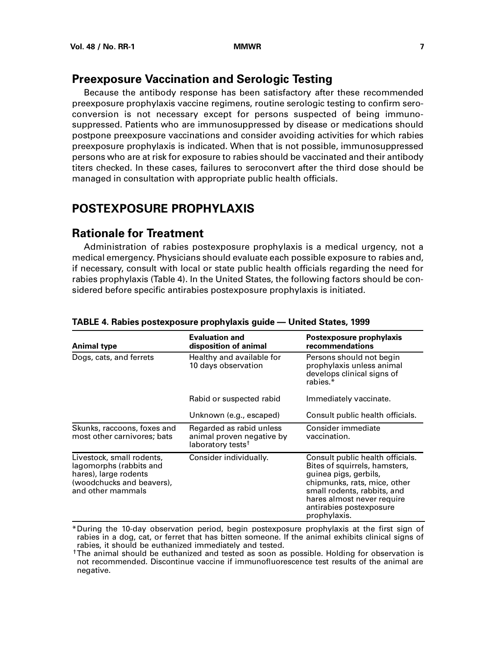# <span id="page-14-0"></span>**Preexposure Vaccination and Serologic Testing**

Because the antibody response has been satisfactory after these recommended preexposure prophylaxis vaccine regimens, routine serologic testing to confirm seroconversion is not necessary except for persons suspected of being immunosuppressed. Patients who are immunosuppressed by disease or medications should postpone preexposure vaccinations and consider avoiding activities for which rabies preexposure prophylaxis is indicated. When that is not possible, immunosuppressed persons who are at risk for exposure to rabies should be vaccinated and their antibody titers checked. In these cases, failures to seroconvert after the third dose should be managed in consultation with appropriate public health officials.

# **POSTEXPOSURE PROPHYLAXIS**

## **Rationale for Treatment**

Administration of rabies postexposure prophylaxis is a medical urgency, not a medical emergency. Physicians should evaluate each possible exposure to rabies and, if necessary, consult with local or state public health officials regarding the need for rabies prophylaxis (Table 4). In the United States, the following factors should be considered before specific antirabies postexposure prophylaxis is initiated.

| <b>Animal type</b>                                                                                                              | <b>Evaluation and</b><br>disposition of animal                                         | Postexposure prophylaxis<br>recommendations                                                                                                                                                                                        |
|---------------------------------------------------------------------------------------------------------------------------------|----------------------------------------------------------------------------------------|------------------------------------------------------------------------------------------------------------------------------------------------------------------------------------------------------------------------------------|
| Dogs, cats, and ferrets                                                                                                         | Healthy and available for<br>10 days observation                                       | Persons should not begin<br>prophylaxis unless animal<br>develops clinical signs of<br>rabies.*                                                                                                                                    |
|                                                                                                                                 | Rabid or suspected rabid                                                               | Immediately vaccinate.                                                                                                                                                                                                             |
|                                                                                                                                 | Unknown (e.g., escaped)                                                                | Consult public health officials.                                                                                                                                                                                                   |
| Skunks, raccoons, foxes and<br>most other carnivores; bats                                                                      | Regarded as rabid unless<br>animal proven negative by<br>laboratory tests <sup>†</sup> | Consider immediate<br>vaccination.                                                                                                                                                                                                 |
| Livestock, small rodents,<br>lagomorphs (rabbits and<br>hares), large rodents<br>(woodchucks and beavers),<br>and other mammals | Consider individually.                                                                 | Consult public health officials.<br>Bites of squirrels, hamsters,<br>guinea pigs, gerbils,<br>chipmunks, rats, mice, other<br>small rodents, rabbits, and<br>hares almost never require<br>antirabies postexposure<br>prophylaxis. |

### **TABLE 4. Rabies postexposure prophylaxis guide — United States, 1999**

\*During the 10-day observation period, begin postexposure prophylaxis at the first sign of rabies in a dog, cat, or ferret that has bitten someone. If the animal exhibits clinical signs of rabies, it should be euthanized immediately and tested.

†The animal should be euthanized and tested as soon as possible. Holding for observation is not recommended. Discontinue vaccine if immunofluorescence test results of the animal are negative.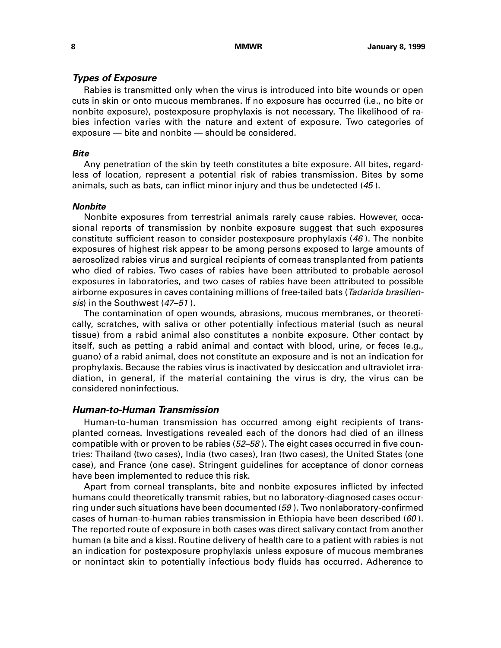### <span id="page-15-0"></span>**Types of Exposure**

Rabies is transmitted only when the virus is introduced into bite wounds or open cuts in skin or onto mucous membranes. If no exposure has occurred (i.e., no bite or nonbite exposure), postexposure prophylaxis is not necessary. The likelihood of rabies infection varies with the nature and extent of exposure. Two categories of exposure — bite and nonbite — should be considered.

### **Bite**

Any penetration of the skin by teeth constitutes a bite exposure. All bites, regardless of location, represent a potential risk of rabies transmission. Bites by some animals, such as bats, can inflict minor injury and thus be undetected (45 ).

### **Nonbite**

Nonbite exposures from terrestrial animals rarely cause rabies. However, occasional reports of transmission by nonbite exposure suggest that such exposures constitute sufficient reason to consider postexposure prophylaxis (46 ). The nonbite exposures of highest risk appear to be among persons exposed to large amounts of aerosolized rabies virus and surgical recipients of corneas transplanted from patients who died of rabies. Two cases of rabies have been attributed to probable aerosol exposures in laboratories, and two cases of rabies have been attributed to possible airborne exposures in caves containing millions of free-tailed bats (Tadarida brasiliensis) in the Southwest (47–51).

The contamination of open wounds, abrasions, mucous membranes, or theoretically, scratches, with saliva or other potentially infectious material (such as neural tissue) from a rabid animal also constitutes a nonbite exposure. Other contact by itself, such as petting a rabid animal and contact with blood, urine, or feces (e.g., guano) of a rabid animal, does not constitute an exposure and is not an indication for prophylaxis. Because the rabies virus is inactivated by desiccation and ultraviolet irradiation, in general, if the material containing the virus is dry, the virus can be considered noninfectious.

### **Human-to-Human Transmission**

Human-to-human transmission has occurred among eight recipients of transplanted corneas. Investigations revealed each of the donors had died of an illness compatible with or proven to be rabies  $(52–58)$ . The eight cases occurred in five countries: Thailand (two cases), India (two cases), Iran (two cases), the United States (one case), and France (one case). Stringent guidelines for acceptance of donor corneas have been implemented to reduce this risk.

Apart from corneal transplants, bite and nonbite exposures inflicted by infected humans could theoretically transmit rabies, but no laboratory-diagnosed cases occurring under such situations have been documented (59 ). Two nonlaboratory-confirmed cases of human-to-human rabies transmission in Ethiopia have been described (60). The reported route of exposure in both cases was direct salivary contact from another human (a bite and a kiss). Routine delivery of health care to a patient with rabies is not an indication for postexposure prophylaxis unless exposure of mucous membranes or nonintact skin to potentially infectious body fluids has occurred. Adherence to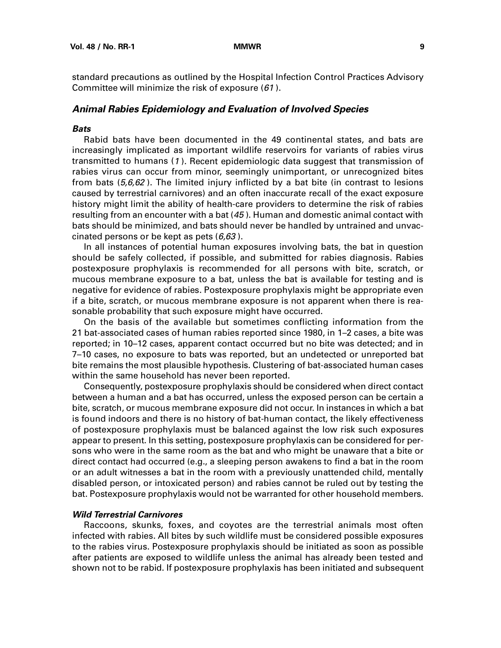<span id="page-16-0"></span>standard precautions as outlined by the Hospital Infection Control Practices Advisory

# **Animal Rabies Epidemiology and Evaluation of Involved Species**

Committee will minimize the risk of exposure (61 ).

### **Bats**

Rabid bats have been documented in the 49 continental states, and bats are increasingly implicated as important wildlife reservoirs for variants of rabies virus transmitted to humans (1 ). Recent epidemiologic data suggest that transmission of rabies virus can occur from minor, seemingly unimportant, or unrecognized bites from bats  $(5,6,62)$ . The limited injury inflicted by a bat bite (in contrast to lesions caused by terrestrial carnivores) and an often inaccurate recall of the exact exposure history might limit the ability of health-care providers to determine the risk of rabies resulting from an encounter with a bat (45 ). Human and domestic animal contact with bats should be minimized, and bats should never be handled by untrained and unvaccinated persons or be kept as pets  $(6,63)$ .

In all instances of potential human exposures involving bats, the bat in question should be safely collected, if possible, and submitted for rabies diagnosis. Rabies postexposure prophylaxis is recommended for all persons with bite, scratch, or mucous membrane exposure to a bat, unless the bat is available for testing and is negative for evidence of rabies. Postexposure prophylaxis might be appropriate even if a bite, scratch, or mucous membrane exposure is not apparent when there is reasonable probability that such exposure might have occurred.

On the basis of the available but sometimes conflicting information from the 21 bat-associated cases of human rabies reported since 1980, in 1–2 cases, a bite was reported; in 10–12 cases, apparent contact occurred but no bite was detected; and in 7–10 cases, no exposure to bats was reported, but an undetected or unreported bat bite remains the most plausible hypothesis. Clustering of bat-associated human cases within the same household has never been reported.

Consequently, postexposure prophylaxis should be considered when direct contact between a human and a bat has occurred, unless the exposed person can be certain a bite, scratch, or mucous membrane exposure did not occur. In instances in which a bat is found indoors and there is no history of bat-human contact, the likely effectiveness of postexposure prophylaxis must be balanced against the low risk such exposures appear to present. In this setting, postexposure prophylaxis can be considered for persons who were in the same room as the bat and who might be unaware that a bite or direct contact had occurred (e.g., a sleeping person awakens to find a bat in the room or an adult witnesses a bat in the room with a previously unattended child, mentally disabled person, or intoxicated person) and rabies cannot be ruled out by testing the bat. Postexposure prophylaxis would not be warranted for other household members.

### **Wild Terrestrial Carnivores**

Raccoons, skunks, foxes, and coyotes are the terrestrial animals most often infected with rabies. All bites by such wildlife must be considered possible exposures to the rabies virus. Postexposure prophylaxis should be initiated as soon as possible after patients are exposed to wildlife unless the animal has already been tested and shown not to be rabid. If postexposure prophylaxis has been initiated and subsequent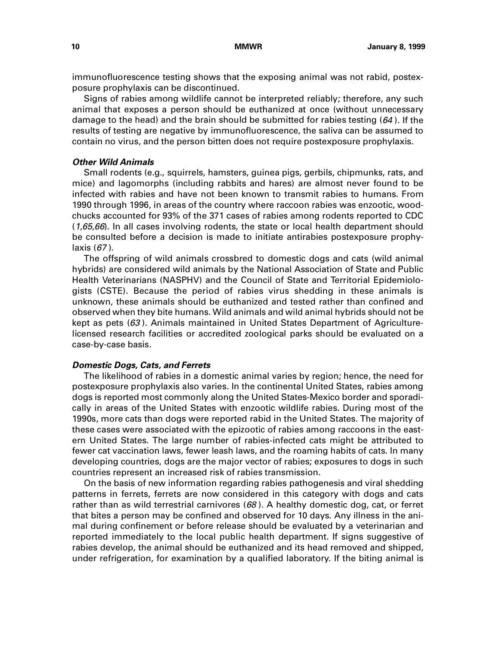immunofluorescence testing shows that the exposing animal was not rabid, postexposure prophylaxis can be discontinued.

Signs of rabies among wildlife cannot be interpreted reliably; therefore, any such animal that exposes a person should be euthanized at once (without unnecessary damage to the head) and the brain should be submitted for rabies testing (64). If the results of testing are negative by immunofluorescence, the saliva can be assumed to contain no virus, and the person bitten does not require postexposure prophylaxis.

### **Other Wild Animals**

Small rodents (e.g., squirrels, hamsters, guinea pigs, gerbils, chipmunks, rats, and mice) and lagomorphs (including rabbits and hares) are almost never found to be infected with rabies and have not been known to transmit rabies to humans. From 1990 through 1996, in areas of the country where raccoon rabies was enzootic, woodchucks accounted for 93% of the 371 cases of rabies among rodents reported to CDC  $(1,65,66)$ . In all cases involving rodents, the state or local health department should be consulted before a decision is made to initiate antirabies postexposure prophylaxis (67 ).

The offspring of wild animals crossbred to domestic dogs and cats (wild animal hybrids) are considered wild animals by the National Association of State and Public Health Veterinarians (NASPHV) and the Council of State and Territorial Epidemiologists (CSTE). Because the period of rabies virus shedding in these animals is unknown, these animals should be euthanized and tested rather than confined and observed when they bite humans. Wild animals and wild animal hybrids should not be kept as pets (63 ). Animals maintained in United States Department of Agriculturelicensed research facilities or accredited zoological parks should be evaluated on a case-by-case basis.

### **Domestic Dogs, Cats, and Ferrets**

The likelihood of rabies in a domestic animal varies by region; hence, the need for postexposure prophylaxis also varies. In the continental United States, rabies among dogs is reported most commonly along the United States-Mexico border and sporadically in areas of the United States with enzootic wildlife rabies. During most of the 1990s, more cats than dogs were reported rabid in the United States. The majority of these cases were associated with the epizootic of rabies among raccoons in the eastern United States. The large number of rabies-infected cats might be attributed to fewer cat vaccination laws, fewer leash laws, and the roaming habits of cats. In many developing countries, dogs are the major vector of rabies; exposures to dogs in such countries represent an increased risk of rabies transmission.

On the basis of new information regarding rabies pathogenesis and viral shedding patterns in ferrets, ferrets are now considered in this category with dogs and cats rather than as wild terrestrial carnivores  $(68)$ . A healthy domestic dog, cat, or ferret that bites a person may be confined and observed for 10 days. Any illness in the animal during confinement or before release should be evaluated by a veterinarian and reported immediately to the local public health department. If signs suggestive of rabies develop, the animal should be euthanized and its head removed and shipped, under refrigeration, for examination by a qualified laboratory. If the biting animal is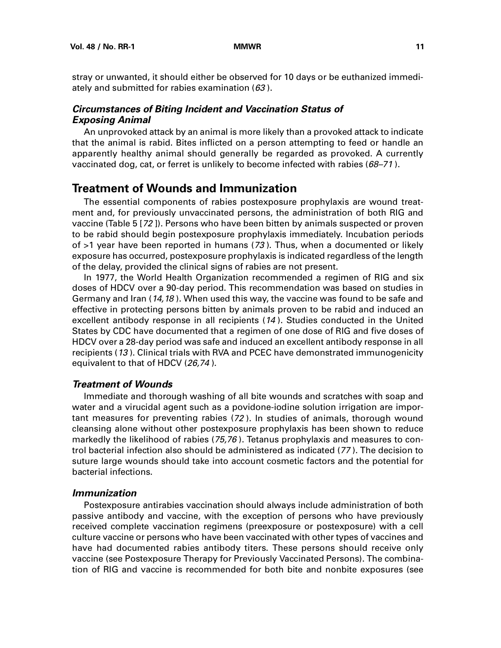<span id="page-18-1"></span><span id="page-18-0"></span>stray or unwanted, it should either be observed for 10 days or be euthanized immediately and submitted for rabies examination (63 ).

### **Circumstances of Biting Incident and Vaccination Status of Exposing Animal**

An unprovoked attack by an animal is more likely than a provoked attack to indicate that the animal is rabid. Bites inflicted on a person attempting to feed or handle an apparently healthy animal should generally be regarded as provoked. A currently vaccinated dog, cat, or ferret is unlikely to become infected with rabies ( $68-71$ ).

# **Treatment of Wounds and Immunization**

The essential components of rabies postexposure prophylaxis are wound treatment and, for previously unvaccinated persons, the administration of both RIG and vaccine (Table 5 [72 ]). Persons who have been bitten by animals suspected or proven to be rabid should begin postexposure prophylaxis immediately. Incubation periods of >1 year have been reported in humans (73 ). Thus, when a documented or likely exposure has occurred, postexposure prophylaxis is indicated regardless of the length of the delay, provided the clinical signs of rabies are not present.

In 1977, the World Health Organization recommended a regimen of RIG and six doses of HDCV over a 90-day period. This recommendation was based on studies in Germany and Iran (14,18 ). When used this way, the vaccine was found to be safe and effective in protecting persons bitten by animals proven to be rabid and induced an excellent antibody response in all recipients (14 ). Studies conducted in the United States by CDC have documented that a regimen of one dose of RIG and five doses of HDCV over a 28-day period was safe and induced an excellent antibody response in all recipients (13 ). Clinical trials with RVA and PCEC have demonstrated immunogenicity equivalent to that of HDCV (26,74).

### **Treatment of Wounds**

Immediate and thorough washing of all bite wounds and scratches with soap and water and a virucidal agent such as a povidone-iodine solution irrigation are important measures for preventing rabies (72 ). In studies of animals, thorough wound cleansing alone without other postexposure prophylaxis has been shown to reduce markedly the likelihood of rabies (75,76 ). Tetanus prophylaxis and measures to control bacterial infection also should be administered as indicated (77 ). The decision to suture large wounds should take into account cosmetic factors and the potential for bacterial infections.

### **Immunization**

Postexposure antirabies vaccination should always include administration of both passive antibody and vaccine, with the exception of persons who have previously received complete vaccination regimens (preexposure or postexposure) with a cell culture vaccine or persons who have been vaccinated with other types of vaccines and have had documented rabies antibody titers. These persons should receive only vaccine (see Postexposure Therapy for Previously Vaccinated Persons). The combination of RIG and vaccine is recommended for both bite and nonbite exposures (see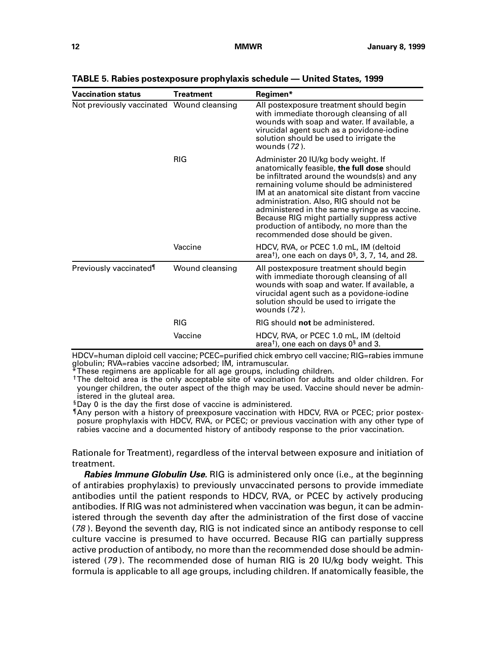| <b>Vaccination status</b>                 | <b>Treatment</b> | Regimen*                                                                                                                                                                                                                                                                                                                                                                                                                                                 |
|-------------------------------------------|------------------|----------------------------------------------------------------------------------------------------------------------------------------------------------------------------------------------------------------------------------------------------------------------------------------------------------------------------------------------------------------------------------------------------------------------------------------------------------|
| Not previously vaccinated Wound cleansing |                  | All postexposure treatment should begin<br>with immediate thorough cleansing of all<br>wounds with soap and water. If available, a<br>virucidal agent such as a povidone-iodine<br>solution should be used to irrigate the<br>wounds (72).                                                                                                                                                                                                               |
|                                           | <b>RIG</b>       | Administer 20 IU/kg body weight. If<br>anatomically feasible, the full dose should<br>be infiltrated around the wounds(s) and any<br>remaining volume should be administered<br>IM at an anatomical site distant from vaccine<br>administration. Also, RIG should not be<br>administered in the same syringe as vaccine.<br>Because RIG might partially suppress active<br>production of antibody, no more than the<br>recommended dose should be given. |
|                                           | Vaccine          | HDCV, RVA, or PCEC 1.0 mL, IM (deltoid<br>area <sup>†</sup> ), one each on days $0^{\frac{5}{2}}$ , 3, 7, 14, and 28.                                                                                                                                                                                                                                                                                                                                    |
| Previously vaccinated <sup>1</sup>        | Wound cleansing  | All postexposure treatment should begin<br>with immediate thorough cleansing of all<br>wounds with soap and water. If available, a<br>virucidal agent such as a povidone-iodine<br>solution should be used to irrigate the<br>wounds (72).                                                                                                                                                                                                               |
|                                           | <b>RIG</b>       | RIG should not be administered.                                                                                                                                                                                                                                                                                                                                                                                                                          |
|                                           | Vaccine          | HDCV, RVA, or PCEC 1.0 mL, IM (deltoid<br>area <sup>†</sup> ), one each on days $0^{\frac{5}{3}}$ and 3.                                                                                                                                                                                                                                                                                                                                                 |

**TABLE 5. Rabies postexposure prophylaxis schedule — United States, 1999**

HDCV=human diploid cell vaccine; PCEC=purified chick embryo cell vaccine; RIG=rabies immune globulin; RVA=rabies vaccine adsorbed; IM, intramuscular.

These regimens are applicable for all age groups, including children.

†The deltoid area is the only acceptable site of vaccination for adults and older children. For younger children, the outer aspect of the thigh may be used. Vaccine should never be administered in the gluteal area.

 $8$ Day 0 is the day the first dose of vaccine is administered.

¶Any person with a history of preexposure vaccination with HDCV, RVA or PCEC; prior postexposure prophylaxis with HDCV, RVA, or PCEC; or previous vaccination with any other type of rabies vaccine and a documented history of antibody response to the prior vaccination.

Rationale for Treatment), regardless of the interval between exposure and initiation of treatment.

**Rabies Immune Globulin Use.** RIG is administered only once (i.e., at the beginning of antirabies prophylaxis) to previously unvaccinated persons to provide immediate antibodies until the patient responds to HDCV, RVA, or PCEC by actively producing antibodies. If RIG was not administered when vaccination was begun, it can be administered through the seventh day after the administration of the first dose of vaccine (78 ). Beyond the seventh day, RIG is not indicated since an antibody response to cell culture vaccine is presumed to have occurred. Because RIG can partially suppress active production of antibody, no more than the recommended dose should be administered (79 ). The recommended dose of human RIG is 20 IU/kg body weight. This formula is applicable to all age groups, including children. If anatomically feasible, the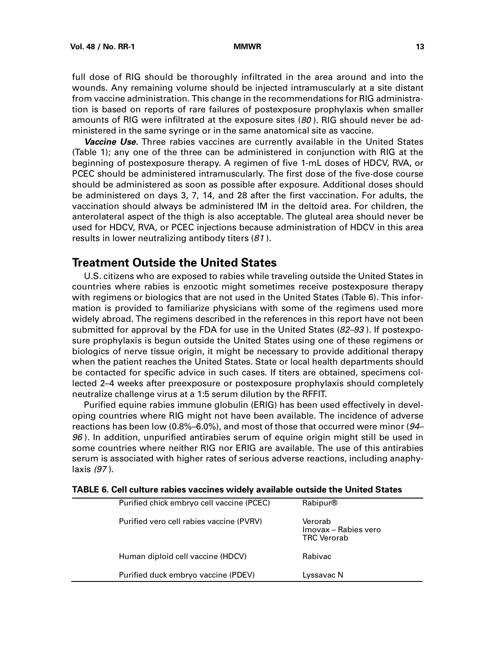<span id="page-20-0"></span>full dose of RIG should be thoroughly infiltrated in the area around and into the wounds. Any remaining volume should be injected intramuscularly at a site distant from vaccine administration. This change in the recommendations for RIG administration is based on reports of rare failures of postexposure prophylaxis when smaller amounts of RIG were infiltrated at the exposure sites  $(80)$ . RIG should never be administered in the same syringe or in the same anatomical site as vaccine.

**Vaccine Use.** Three rabies vaccines are currently available in the United States (Table 1); any one of the three can be administered in conjunction with RIG at the beginning of postexposure therapy. A regimen of five 1-mL doses of HDCV, RVA, or PCEC should be administered intramuscularly. The first dose of the five-dose course should be administered as soon as possible after exposure. Additional doses should be administered on days 3, 7, 14, and 28 after the first vaccination. For adults, the vaccination should always be administered IM in the deltoid area. For children, the anterolateral aspect of the thigh is also acceptable. The gluteal area should never be used for HDCV, RVA, or PCEC injections because administration of HDCV in this area results in lower neutralizing antibody titers (81 ).

# **Treatment Outside the United States**

U.S. citizens who are exposed to rabies while traveling outside the United States in countries where rabies is enzootic might sometimes receive postexposure therapy with regimens or biologics that are not used in the United States (Table 6). This information is provided to familiarize physicians with some of the regimens used more widely abroad. The regimens described in the references in this report have not been submitted for approval by the FDA for use in the United States  $(82-93)$ . If postexposure prophylaxis is begun outside the United States using one of these regimens or biologics of nerve tissue origin, it might be necessary to provide additional therapy when the patient reaches the United States. State or local health departments should be contacted for specific advice in such cases. If titers are obtained, specimens collected 2–4 weeks after preexposure or postexposure prophylaxis should completely neutralize challenge virus at a 1:5 serum dilution by the RFFIT.

Purified equine rabies immune globulin (ERIG) has been used effectively in developing countries where RIG might not have been available. The incidence of adverse reactions has been low (0.8%–6.0%), and most of those that occurred were minor (94– 96 ). In addition, unpurified antirabies serum of equine origin might still be used in some countries where neither RIG nor ERIG are available. The use of this antirabies serum is associated with higher rates of serious adverse reactions, including anaphylaxis (97 ).

| Purified chick embryo cell vaccine (PCEC) | <b>Rabipur®</b>                                                      |
|-------------------------------------------|----------------------------------------------------------------------|
| Purified vero cell rabies vaccine (PVRV)  | $Verorab^{TM}$<br>Imovax - Rabies vero™<br>TRC Verorab <sup>TM</sup> |
| Human diploid cell vaccine (HDCV)         | Rabivac™                                                             |
| Purified duck embryo vaccine (PDEV)       | Lyssavac N™                                                          |

| TABLE 6. Cell culture rabies vaccines widely available outside the United States |  |
|----------------------------------------------------------------------------------|--|
|----------------------------------------------------------------------------------|--|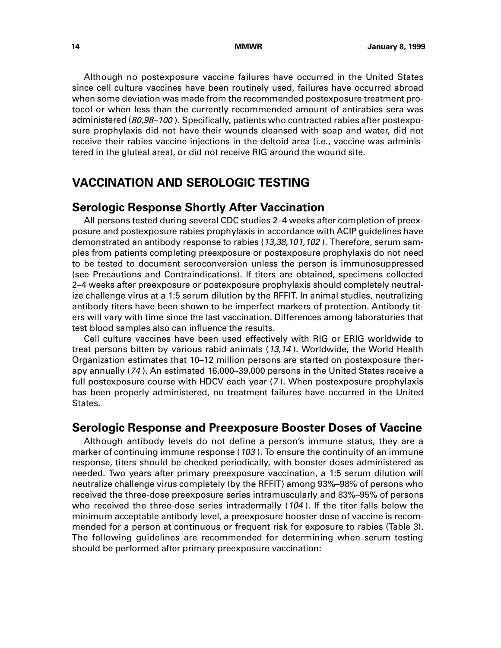<span id="page-21-0"></span>Although no postexposure vaccine failures have occurred in the United States since cell culture vaccines have been routinely used, failures have occurred abroad when some deviation was made from the recommended postexposure treatment protocol or when less than the currently recommended amount of antirabies sera was administered (80,98–100 ). Specifically, patients who contracted rabies after postexposure prophylaxis did not have their wounds cleansed with soap and water, did not receive their rabies vaccine injections in the deltoid area (i.e., vaccine was administered in the gluteal area), or did not receive RIG around the wound site.

# **VACCINATION AND SEROLOGIC TESTING**

### **Serologic Response Shortly After Vaccination**

All persons tested during several CDC studies 2–4 weeks after completion of preexposure and postexposure rabies prophylaxis in accordance with ACIP guidelines have demonstrated an antibody response to rabies (13,38,101,102 ). Therefore, serum samples from patients completing preexposure or postexposure prophylaxis do not need to be tested to document seroconversion unless the person is immunosuppressed (see Precautions and Contraindications). If titers are obtained, specimens collected 2–4 weeks after preexposure or postexposure prophylaxis should completely neutralize challenge virus at a 1:5 serum dilution by the RFFIT. In animal studies, neutralizing antibody titers have been shown to be imperfect markers of protection. Antibody titers will vary with time since the last vaccination. Differences among laboratories that test blood samples also can influence the results.

Cell culture vaccines have been used effectively with RIG or ERIG worldwide to treat persons bitten by various rabid animals (13,14). Worldwide, the World Health Organization estimates that 10–12 million persons are started on postexposure therapy annually (74 ). An estimated 16,000–39,000 persons in the United States receive a full postexposure course with HDCV each year (7 ). When postexposure prophylaxis has been properly administered, no treatment failures have occurred in the United States.

## **Serologic Response and Preexposure Booster Doses of Vaccine**

Although antibody levels do not define a person's immune status, they are a marker of continuing immune response (103). To ensure the continuity of an immune response, titers should be checked periodically, with booster doses administered as needed. Two years after primary preexposure vaccination, a 1:5 serum dilution will neutralize challenge virus completely (by the RFFIT) among 93%–98% of persons who received the three-dose preexposure series intramuscularly and 83%–95% of persons who received the three-dose series intradermally (104). If the titer falls below the minimum acceptable antibody level, a preexposure booster dose of vaccine is recommended for a person at continuous or frequent risk for exposure to rabies (Table 3). The following guidelines are recommended for determining when serum testing should be performed after primary preexposure vaccination: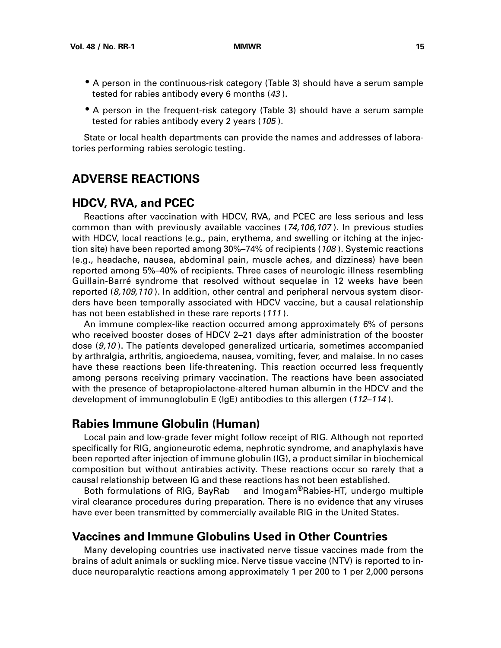- <span id="page-22-0"></span>• A person in the continuous-risk category (Table 3) should have a serum sample tested for rabies antibody every 6 months (43 ).
- A person in the frequent-risk category (Table 3) should have a serum sample tested for rabies antibody every 2 years (105 ).

State or local health departments can provide the names and addresses of laboratories performing rabies serologic testing.

# **ADVERSE REACTIONS**

# **HDCV, RVA, and PCEC**

Reactions after vaccination with HDCV, RVA, and PCEC are less serious and less common than with previously available vaccines (74,106,107 ). In previous studies with HDCV, local reactions (e.g., pain, erythema, and swelling or itching at the injection site) have been reported among 30%–74% of recipients (108 ). Systemic reactions (e.g., headache, nausea, abdominal pain, muscle aches, and dizziness) have been reported among 5%–40% of recipients. Three cases of neurologic illness resembling Guillain-Barré syndrome that resolved without sequelae in 12 weeks have been reported (8,109,110). In addition, other central and peripheral nervous system disorders have been temporally associated with HDCV vaccine, but a causal relationship has not been established in these rare reports (111 ).

An immune complex-like reaction occurred among approximately 6% of persons who received booster doses of HDCV 2–21 days after administration of the booster dose (9,10 ). The patients developed generalized urticaria, sometimes accompanied by arthralgia, arthritis, angioedema, nausea, vomiting, fever, and malaise. In no cases have these reactions been life-threatening. This reaction occurred less frequently among persons receiving primary vaccination. The reactions have been associated with the presence of betapropiolactone-altered human albumin in the HDCV and the development of immunoglobulin E (IgE) antibodies to this allergen (112–114 ).

### **Rabies Immune Globulin (Human)**

Local pain and low-grade fever might follow receipt of RIG. Although not reported specifically for RIG, angioneurotic edema, nephrotic syndrome, and anaphylaxis have been reported after injection of immune globulin (IG), a product similar in biochemical composition but without antirabies activity. These reactions occur so rarely that a causal relationship between IG and these reactions has not been established.

Both formulations of RIG, BayRab<sup>TM</sup> and Imogam®Rabies-HT, undergo multiple viral clearance procedures during preparation. There is no evidence that any viruses have ever been transmitted by commercially available RIG in the United States.

# **Vaccines and Immune Globulins Used in Other Countries**

Many developing countries use inactivated nerve tissue vaccines made from the brains of adult animals or suckling mice. Nerve tissue vaccine (NTV) is reported to induce neuroparalytic reactions among approximately 1 per 200 to 1 per 2,000 persons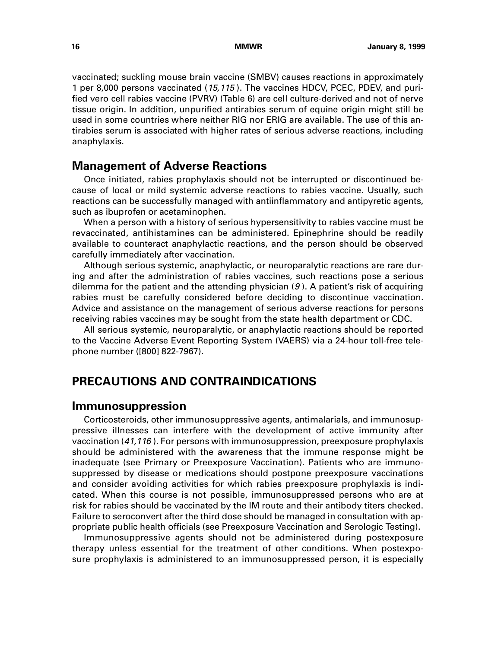<span id="page-23-0"></span>vaccinated; suckling mouse brain vaccine (SMBV) causes reactions in approximately 1 per 8,000 persons vaccinated (15,115 ). The vaccines HDCV, PCEC, PDEV, and purified vero cell rabies vaccine (PVRV) (Table 6) are cell culture-derived and not of nerve tissue origin. In addition, unpurified antirabies serum of equine origin might still be used in some countries where neither RIG nor ERIG are available. The use of this antirabies serum is associated with higher rates of serious adverse reactions, including anaphylaxis.

### **Management of Adverse Reactions**

Once initiated, rabies prophylaxis should not be interrupted or discontinued because of local or mild systemic adverse reactions to rabies vaccine. Usually, such reactions can be successfully managed with antiinflammatory and antipyretic agents, such as ibuprofen or acetaminophen.

When a person with a history of serious hypersensitivity to rabies vaccine must be revaccinated, antihistamines can be administered. Epinephrine should be readily available to counteract anaphylactic reactions, and the person should be observed carefully immediately after vaccination.

Although serious systemic, anaphylactic, or neuroparalytic reactions are rare during and after the administration of rabies vaccines, such reactions pose a serious dilemma for the patient and the attending physician  $(9)$ . A patient's risk of acquiring rabies must be carefully considered before deciding to discontinue vaccination. Advice and assistance on the management of serious adverse reactions for persons receiving rabies vaccines may be sought from the state health department or CDC.

All serious systemic, neuroparalytic, or anaphylactic reactions should be reported to the Vaccine Adverse Event Reporting System (VAERS) via a 24-hour toll-free telephone number ([800] 822-7967).

# **PRECAUTIONS AND CONTRAINDICATIONS**

### **Immunosuppression**

Corticosteroids, other immunosuppressive agents, antimalarials, and immunosuppressive illnesses can interfere with the development of active immunity after vaccination (41,116 ). For persons with immunosuppression, preexposure prophylaxis should be administered with the awareness that the immune response might be inadequate (see Primary or Preexposure Vaccination). Patients who are immunosuppressed by disease or medications should postpone preexposure vaccinations and consider avoiding activities for which rabies preexposure prophylaxis is indicated. When this course is not possible, immunosuppressed persons who are at risk for rabies should be vaccinated by the IM route and their antibody titers checked. Failure to seroconvert after the third dose should be managed in consultation with appropriate public health officials (see Preexposure Vaccination and Serologic Testing).

Immunosuppressive agents should not be administered during postexposure therapy unless essential for the treatment of other conditions. When postexposure prophylaxis is administered to an immunosuppressed person, it is especially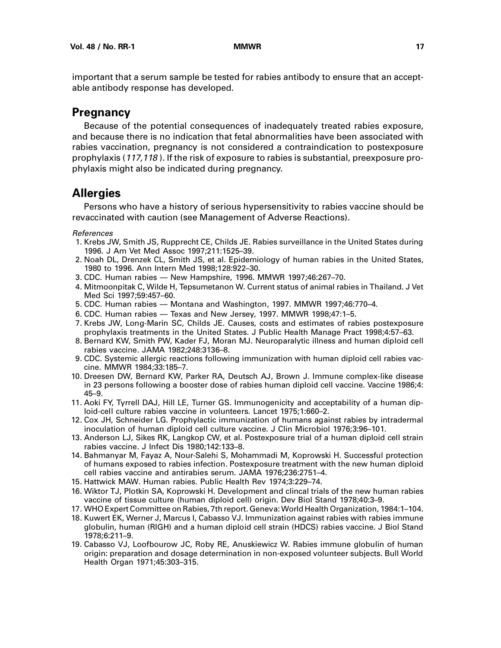<span id="page-24-0"></span>important that a serum sample be tested for rabies antibody to ensure that an acceptable antibody response has developed.

# **Pregnancy**

Because of the potential consequences of inadequately treated rabies exposure, and because there is no indication that fetal abnormalities have been associated with rabies vaccination, pregnancy is not considered a contraindication to postexposure prophylaxis (117,118 ). If the risk of exposure to rabies is substantial, preexposure prophylaxis might also be indicated during pregnancy.

# **Allergies**

Persons who have a history of serious hypersensitivity to rabies vaccine should be revaccinated with caution (see Management of Adverse Reactions).

References

- 1. Krebs JW, Smith JS, Rupprecht CE, Childs JE. Rabies surveillance in the United States during 1996. J Am Vet Med Assoc 1997;211:1525–39.
- 2. Noah DL, Drenzek CL, Smith JS, et al. Epidemiology of human rabies in the United States, 1980 to 1996. Ann Intern Med 1998;128:922–30.
- 3. CDC. Human rabies New Hampshire, 1996. MMWR 1997;46:267–70.
- 4. Mitmoonpitak C, Wilde H, Tepsumetanon W. Current status of animal rabies in Thailand. J Vet Med Sci 1997;59:457–60.
- 5. CDC. Human rabies Montana and Washington, 1997. MMWR 1997;46:770–4.
- 6. CDC. Human rabies Texas and New Jersey, 1997. MMWR 1998;47:1–5.
- 7. Krebs JW, Long-Marin SC, Childs JE. Causes, costs and estimates of rabies postexposure prophylaxis treatments in the United States. J Public Health Manage Pract 1998;4:57–63.
- 8. Bernard KW, Smith PW, Kader FJ, Moran MJ. Neuroparalytic illness and human diploid cell rabies vaccine. JAMA 1982;248:3136–8.
- 9. CDC. Systemic allergic reactions following immunization with human diploid cell rabies vaccine. MMWR 1984;33:185–7.
- 10. Dreesen DW, Bernard KW, Parker RA, Deutsch AJ, Brown J. Immune complex-like disease in 23 persons following a booster dose of rabies human diploid cell vaccine. Vaccine 1986;4: 45–9.
- 11. Aoki FY, Tyrrell DAJ, Hill LE, Turner GS. Immunogenicity and acceptability of a human diploid-cell culture rabies vaccine in volunteers. Lancet 1975;1:660–2.
- 12. Cox JH, Schneider LG. Prophylactic immunization of humans against rabies by intradermal inoculation of human diploid cell culture vaccine. J Clin Microbiol 1976;3:96–101.
- 13. Anderson LJ, Sikes RK, Langkop CW, et al. Postexposure trial of a human diploid cell strain rabies vaccine. J Infect Dis 1980;142:133–8.
- 14. Bahmanyar M, Fayaz A, Nour-Salehi S, Mohammadi M, Koprowski H. Successful protection of humans exposed to rabies infection. Postexposure treatment with the new human diploid cell rabies vaccine and antirabies serum. JAMA 1976;236:2751–4.
- 15. Hattwick MAW. Human rabies. Public Health Rev 1974;3:229–74.
- 16. Wiktor TJ, Plotkin SA, Koprowski H. Development and clincal trials of the new human rabies vaccine of tissue culture (human diploid cell) origin. Dev Biol Stand 1978;40:3–9.
- 17. WHO Expert Committee on Rabies, 7th report. Geneva: World Health Organization, 1984:1–104.
- 18. Kuwert EK, Werner J, Marcus I, Cabasso VJ. Immunization against rabies with rabies immune globulin, human (RIGH) and a human diploid cell strain (HDCS) rabies vaccine. J Biol Stand 1978;6:211–9.
- 19. Cabasso VJ, Loofbourow JC, Roby RE, Anuskiewicz W. Rabies immune globulin of human origin: preparation and dosage determination in non-exposed volunteer subjects. Bull World Health Organ 1971;45:303–315.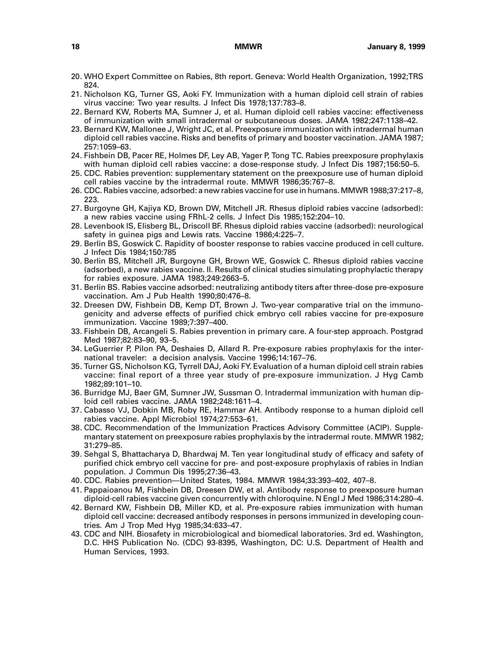- 20. WHO Expert Committee on Rabies, 8th report. Geneva: World Health Organization, 1992;TRS 824.
- 21. Nicholson KG, Turner GS, Aoki FY. Immunization with a human diploid cell strain of rabies virus vaccine: Two year results. J Infect Dis 1978;137:783–8.
- 22. Bernard KW, Roberts MA, Sumner J, et al. Human diploid cell rabies vaccine: effectiveness of immunization with small intradermal or subcutaneous doses. JAMA 1982;247:1138–42.
- 23. Bernard KW, Mallonee J, Wright JC, et al. Preexposure immunization with intradermal human diploid cell rabies vaccine. Risks and benefits of primary and booster vaccination. JAMA 1987; 257:1059–63.
- 24. Fishbein DB, Pacer RE, Holmes DF, Ley AB, Yager P, Tong TC. Rabies preexposure prophylaxis with human diploid cell rabies vaccine: a dose-response study. J Infect Dis 1987;156:50–5.
- 25. CDC. Rabies prevention: supplementary statement on the preexposure use of human diploid cell rabies vaccine by the intradermal route. MMWR 1986;35:767–8.
- 26. CDC. Rabies vaccine, adsorbed: a new rabies vaccine for use in humans. MMWR 1988;37:217–8, 223.
- 27. Burgoyne GH, Kajiya KD, Brown DW, Mitchell JR. Rhesus diploid rabies vaccine (adsorbed): a new rabies vaccine using FRhL-2 cells. J Infect Dis 1985;152:204–10.
- 28. Levenbook IS, Elisberg BL, Driscoll BF. Rhesus diploid rabies vaccine (adsorbed): neurological safety in guinea pigs and Lewis rats. Vaccine 1986;4:225–7.
- 29. Berlin BS, Goswick C. Rapidity of booster response to rabies vaccine produced in cell culture. J Infect Dis 1984;150:785
- 30. Berlin BS, Mitchell JR, Burgoyne GH, Brown WE, Goswick C. Rhesus diploid rabies vaccine (adsorbed), a new rabies vaccine. II. Results of clinical studies simulating prophylactic therapy for rabies exposure. JAMA 1983;249:2663–5.
- 31. Berlin BS. Rabies vaccine adsorbed: neutralizing antibody titers after three-dose pre-exposure vaccination. Am J Pub Health 1990;80:476–8.
- 32. Dreesen DW, Fishbein DB, Kemp DT, Brown J. Two-year comparative trial on the immunogenicity and adverse effects of purified chick embryo cell rabies vaccine for pre-exposure immunization. Vaccine 1989;7:397–400.
- 33. Fishbein DB, Arcangeli S. Rabies prevention in primary care. A four-step approach. Postgrad Med 1987;82:83–90, 93–5.
- 34. LeGuerrier P, Pilon PA, Deshaies D, Allard R. Pre-exposure rabies prophylaxis for the international traveler: a decision analysis. Vaccine 1996;14:167–76.
- 35. Turner GS, Nicholson KG, Tyrrell DAJ, Aoki FY. Evaluation of a human diploid cell strain rabies vaccine: final report of a three year study of pre-exposure immunization. J Hyg Camb 1982;89:101–10.
- 36. Burridge MJ, Baer GM, Sumner JW, Sussman O. Intradermal immunization with human diploid cell rabies vaccine. JAMA 1982;248:1611–4.
- 37. Cabasso VJ, Dobkin MB, Roby RE, Hammar AH. Antibody response to a human diploid cell rabies vaccine. Appl Microbiol 1974;27:553–61.
- 38. CDC. Recommendation of the Immunization Practices Advisory Committee (ACIP). Supplemantary statement on preexposure rabies prophylaxis by the intradermal route. MMWR 1982; 31:279–85.
- 39. Sehgal S, Bhattacharya D, Bhardwaj M. Ten year longitudinal study of efficacy and safety of purified chick embryo cell vaccine for pre- and post-exposure prophylaxis of rabies in Indian population. J Commun Dis 1995;27:36–43.
- 40. CDC. Rabies prevention—United States, 1984. MMWR 1984;33:393–402, 407–8.
- 41. Pappaioanou M, Fishbein DB, Dreesen DW, et al. Antibody response to preexposure human diploid-cell rabies vaccine given concurrently with chloroquine. N Engl J Med 1986;314:280–4.
- 42. Bernard KW, Fishbein DB, Miller KD, et al. Pre-exposure rabies immunization with human diploid cell vaccine: decreased antibody responses in persons immunized in developing countries. Am J Trop Med Hyg 1985;34:633–47.
- 43. CDC and NIH. Biosafety in microbiological and biomedical laboratories. 3rd ed. Washington, D.C. HHS Publication No. (CDC) 93-8395, Washington, DC: U.S. Department of Health and Human Services, 1993.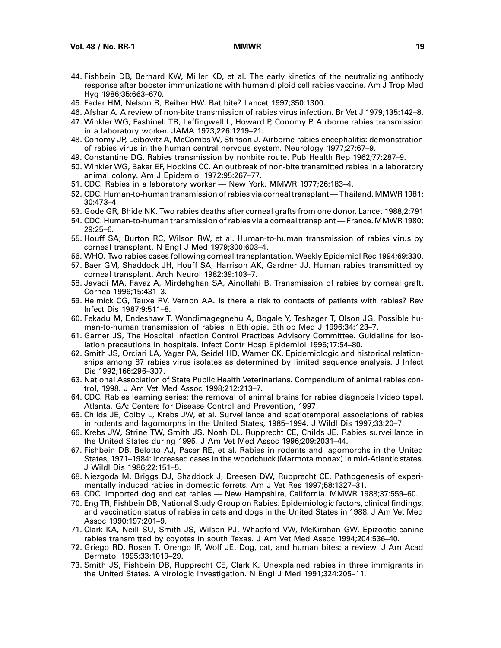- 44. Fishbein DB, Bernard KW, Miller KD, et al. The early kinetics of the neutralizing antibody response after booster immunizations with human diploid cell rabies vaccine. Am J Trop Med Hyg 1986;35:663–670.
- 45. Feder HM, Nelson R, Reiher HW. Bat bite? Lancet 1997;350:1300.
- 46. Afshar A. A review of non-bite transmission of rabies virus infection. Br Vet J 1979;135:142–8.
- 47. Winkler WG, Fashinell TR, Leffingwell L, Howard P, Conomy P. Airborne rabies transmission in a laboratory worker. JAMA 1973;226:1219–21.
- 48. Conomy JP, Leibovitz A, McCombs W, Stinson J. Airborne rabies encephalitis: demonstration of rabies virus in the human central nervous system. Neurology 1977;27:67–9.
- 49. Constantine DG. Rabies transmission by nonbite route. Pub Health Rep 1962;77:287–9.
- 50. Winkler WG, Baker EF, Hopkins CC. An outbreak of non-bite transmitted rabies in a laboratory animal colony. Am J Epidemiol 1972;95:267–77.
- 51. CDC. Rabies in a laboratory worker New York. MMWR 1977;26:183–4.
- 52. CDC. Human-to-human transmission of rabies via corneal transplant Thailand. MMWR 1981; 30:473–4.
- 53. Gode GR, Bhide NK. Two rabies deaths after corneal grafts from one donor. Lancet 1988;2:791
- 54. CDC. Human-to-human transmission of rabies via a corneal transplant France. MMWR 1980; 29:25–6.
- 55. Houff SA, Burton RC, Wilson RW, et al. Human-to-human transmission of rabies virus by corneal transplant. N Engl J Med 1979;300:603–4.
- 56. WHO. Two rabies cases following corneal transplantation. Weekly Epidemiol Rec 1994;69:330.
- 57. Baer GM, Shaddock JH, Houff SA, Harrison AK, Gardner JJ. Human rabies transmitted by corneal transplant. Arch Neurol 1982;39:103–7.
- 58. Javadi MA, Fayaz A, Mirdehghan SA, Ainollahi B. Transmission of rabies by corneal graft. Cornea 1996;15:431–3.
- 59. Helmick CG, Tauxe RV, Vernon AA. Is there a risk to contacts of patients with rabies? Rev Infect Dis 1987;9:511–8.
- 60. Fekadu M, Endeshaw T, Wondimagegnehu A, Bogale Y, Teshager T, Olson JG. Possible human-to-human transmission of rabies in Ethiopia. Ethiop Med J 1996;34:123–7.
- 61. Garner JS, The Hospital Infection Control Practices Advisory Committee. Guideline for isolation precautions in hospitals. Infect Contr Hosp Epidemiol 1996;17:54–80.
- 62. Smith JS, Orciari LA, Yager PA, Seidel HD, Warner CK. Epidemiologic and historical relationships among 87 rabies virus isolates as determined by limited sequence analysis. J Infect Dis 1992;166:296–307.
- 63. National Association of State Public Health Veterinarians. Compendium of animal rabies control, 1998. J Am Vet Med Assoc 1998;212:213–7.
- 64. CDC. Rabies learning series: the removal of animal brains for rabies diagnosis [video tape]. Atlanta, GA: Centers for Disease Control and Prevention, 1997.
- 65. Childs JE, Colby L, Krebs JW, et al. Surveillance and spatiotemporal associations of rabies in rodents and lagomorphs in the United States, 1985–1994. J Wildl Dis 1997;33:20–7.
- 66. Krebs JW, Strine TW, Smith JS, Noah DL, Rupprecht CE, Childs JE. Rabies surveillance in the United States during 1995. J Am Vet Med Assoc 1996;209:2031–44.
- 67. Fishbein DB, Belotto AJ, Pacer RE, et al. Rabies in rodents and lagomorphs in the United States, 1971–1984: increased cases in the woodchuck (Marmota monax) in mid-Atlantic states. J Wildl Dis 1986;22:151–5.
- 68. Niezgoda M, Briggs DJ, Shaddock J, Dreesen DW, Rupprecht CE. Pathogenesis of experimentally induced rabies in domestic ferrets. Am J Vet Res 1997;58:1327–31.
- 69. CDC. Imported dog and cat rabies New Hampshire, California. MMWR 1988;37:559–60.
- 70. Eng TR, Fishbein DB, National Study Group on Rabies. Epidemiologic factors, clinical findings, and vaccination status of rabies in cats and dogs in the United States in 1988. J Am Vet Med Assoc 1990;197:201–9.
- 71. Clark KA, Neill SU, Smith JS, Wilson PJ, Whadford VW, McKirahan GW. Epizootic canine rabies transmitted by coyotes in south Texas. J Am Vet Med Assoc 1994;204:536–40.
- 72. Griego RD, Rosen T, Orengo IF, Wolf JE. Dog, cat, and human bites: a review. J Am Acad Dermatol 1995;33:1019–29.
- 73. Smith JS, Fishbein DB, Rupprecht CE, Clark K. Unexplained rabies in three immigrants in the United States. A virologic investigation. N Engl J Med 1991;324:205–11.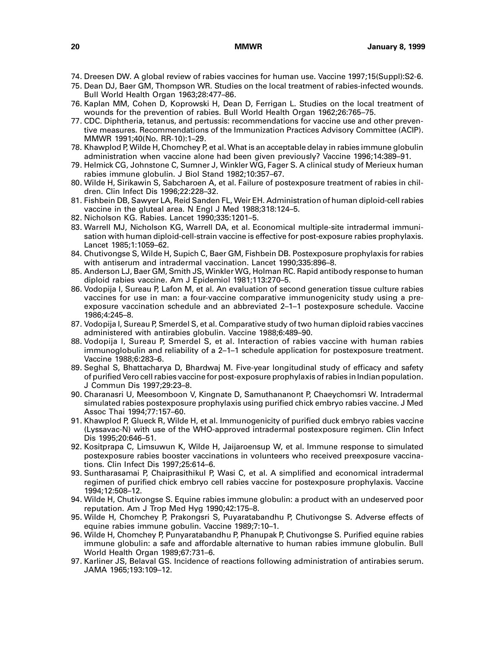- 74. Dreesen DW. A global review of rabies vaccines for human use. Vaccine 1997;15(Suppl):S2-6.
- 75. Dean DJ, Baer GM, Thompson WR. Studies on the local treatment of rabies-infected wounds. Bull World Health Organ 1963;28:477–86.
- 76. Kaplan MM, Cohen D, Koprowski H, Dean D, Ferrigan L. Studies on the local treatment of wounds for the prevention of rabies. Bull World Health Organ 1962;26:765–75.
- 77. CDC. Diphtheria, tetanus, and pertussis: recommendations for vaccine use and other preventive measures. Recommendations of the Immunization Practices Advisory Committee (ACIP). MMWR 1991;40(No. RR-10):1–29.
- 78. Khawplod P, Wilde H, Chomchey P, et al. What is an acceptable delay in rabies immune globulin administration when vaccine alone had been given previously? Vaccine 1996;14:389–91.
- 79. Helmick CG, Johnstone C, Sumner J, Winkler WG, Fager S. A clinical study of Merieux human rabies immune globulin. J Biol Stand 1982;10:357–67.
- 80. Wilde H, Sirikawin S, Sabcharoen A, et al. Failure of postexposure treatment of rabies in children. Clin Infect Dis 1996;22:228–32.
- 81. Fishbein DB, Sawyer LA, Reid Sanden FL, Weir EH. Administration of human diploid-cell rabies vaccine in the gluteal area. N Engl J Med 1988;318:124–5.
- 82. Nicholson KG. Rabies. Lancet 1990;335:1201–5.
- 83. Warrell MJ, Nicholson KG, Warrell DA, et al. Economical multiple-site intradermal immunisation with human diploid-cell-strain vaccine is effective for post-exposure rabies prophylaxis. Lancet 1985;1:1059–62.
- 84. Chutivongse S, Wilde H, Supich C, Baer GM, Fishbein DB. Postexposure prophylaxis for rabies with antiserum and intradermal vaccination. Lancet 1990;335:896–8.
- 85. Anderson LJ, Baer GM, Smith JS, Winkler WG, Holman RC. Rapid antibody response to human diploid rabies vaccine. Am J Epidemiol 1981;113:270–5.
- 86. Vodopija I, Sureau P, Lafon M, et al. An evaluation of second generation tissue culture rabies vaccines for use in man: a four-vaccine comparative immunogenicity study using a preexposure vaccination schedule and an abbreviated 2–1–1 postexposure schedule. Vaccine 1986;4:245–8.
- 87. Vodopija I, Sureau P, Smerdel S, et al. Comparative study of two human diploid rabies vaccines administered with antirabies globulin. Vaccine 1988;6:489–90.
- 88. Vodopija I, Sureau P, Smerdel S, et al. Interaction of rabies vaccine with human rabies immunoglobulin and reliability of a 2–1–1 schedule application for postexposure treatment. Vaccine 1988;6:283–6.
- 89. Seghal S, Bhattacharya D, Bhardwaj M. Five-year longitudinal study of efficacy and safety of purified Vero cell rabies vaccine for post-exposure prophylaxis of rabies in Indian population. J Commun Dis 1997;29:23–8.
- 90. Charanasri U, Meesomboon V, Kingnate D, Samuthananont P, Chaeychomsri W. Intradermal simulated rabies postexposure prophylaxis using purified chick embryo rabies vaccine. J Med Assoc Thai 1994;77:157–60.
- 91. Khawplod P, Glueck R, Wilde H, et al. Immunogenicity of purified duck embryo rabies vaccine (Lyssavac-N) with use of the WHO-approved intradermal postexposure regimen. Clin Infect Dis 1995;20:646–51.
- 92. Kositprapa C, Limsuwun K, Wilde H, Jaijaroensup W, et al. Immune response to simulated postexposure rabies booster vaccinations in volunteers who received preexposure vaccinations. Clin Infect Dis 1997;25:614–6.
- 93. Suntharasamai P, Chaiprasithikul P, Wasi C, et al. A simplified and economical intradermal regimen of purified chick embryo cell rabies vaccine for postexposure prophylaxis. Vaccine 1994;12:508–12.
- 94. Wilde H, Chutivongse S. Equine rabies immune globulin: a product with an undeserved poor reputation. Am J Trop Med Hyg 1990;42:175–8.
- 95. Wilde H, Chomchey P, Prakongsri S, Puyaratabandhu P, Chutivongse S. Adverse effects of equine rabies immune gobulin. Vaccine 1989;7:10–1.
- 96. Wilde H, Chomchey P, Punyaratabandhu P, Phanupak P, Chutivongse S. Purified equine rabies immune globulin: a safe and affordable alternative to human rabies immune globulin. Bull World Health Organ 1989;67:731–6.
- 97. Karliner JS, Belaval GS. Incidence of reactions following administration of antirabies serum. JAMA 1965;193:109–12.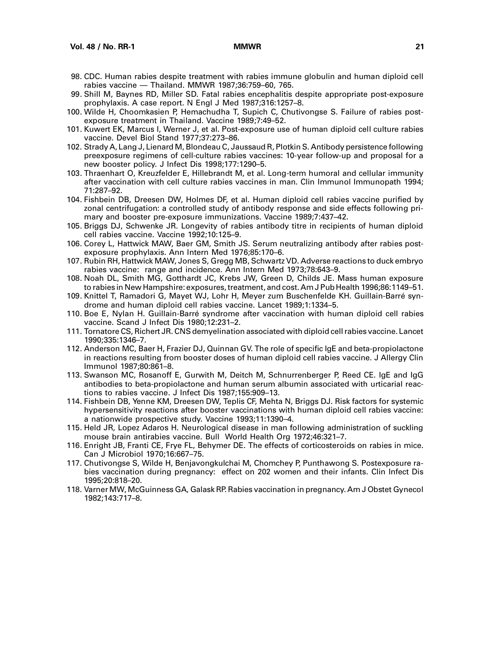- 98. CDC. Human rabies despite treatment with rabies immune globulin and human diploid cell rabies vaccine — Thailand. MMWR 1987;36:759–60, 765.
- 99. Shill M, Baynes RD, Miller SD. Fatal rabies encephalitis despite appropriate post-exposure prophylaxis. A case report. N Engl J Med 1987;316:1257–8.
- 100. Wilde H, Choomkasien P, Hemachudha T, Supich C, Chutivongse S. Failure of rabies postexposure treatment in Thailand. Vaccine 1989;7:49–52.
- 101. Kuwert EK, Marcus I, Werner J, et al. Post-exposure use of human diploid cell culture rabies vaccine. Devel Biol Stand 1977;37:273–86.
- 102. Strady A, Lang J, Lienard M, Blondeau C, Jaussaud R, Plotkin S. Antibody persistence following preexposure regimens of cell-culture rabies vaccines: 10-year follow-up and proposal for a new booster policy. J Infect Dis 1998;177:1290–5.
- 103. Thraenhart O, Kreuzfelder E, Hillebrandt M, et al. Long-term humoral and cellular immunity after vaccination with cell culture rabies vaccines in man. Clin Immunol Immunopath 1994; 71:287–92.
- 104. Fishbein DB, Dreesen DW, Holmes DF, et al. Human diploid cell rabies vaccine purified by zonal centrifugation: a controlled study of antibody response and side effects following primary and booster pre-exposure immunizations. Vaccine 1989;7:437–42.
- 105. Briggs DJ, Schwenke JR. Longevity of rabies antibody titre in recipients of human diploid cell rabies vaccine. Vaccine 1992;10:125–9.
- 106. Corey L, Hattwick MAW, Baer GM, Smith JS. Serum neutralizing antibody after rabies postexposure prophylaxis. Ann Intern Med 1976;85:170–6.
- 107. Rubin RH, Hattwick MAW, Jones S, Gregg MB, Schwartz VD. Adverse reactions to duck embryo rabies vaccine: range and incidence. Ann Intern Med 1973;78:643–9.
- 108. Noah DL, Smith MG, Gotthardt JC, Krebs JW, Green D, Childs JE. Mass human exposure to rabies in New Hampshire: exposures, treatment, and cost. Am J Pub Health 1996;86:1149–51.
- 109. Knittel T, Ramadori G, Mayet WJ, Lohr H, Meyer zum Buschenfelde KH. Guillain-Barré syndrome and human diploid cell rabies vaccine. Lancet 1989;1:1334–5.
- 110. Boe E, Nylan H. Guillain-Barré syndrome after vaccination with human diploid cell rabies vaccine. Scand J Infect Dis 1980;12:231–2.
- 111. Tornatore CS, Richert JR. CNS demyelination associated with diploid cell rabies vaccine. Lancet 1990;335:1346–7.
- 112. Anderson MC, Baer H, Frazier DJ, Quinnan GV. The role of specific IgE and beta-propiolactone in reactions resulting from booster doses of human diploid cell rabies vaccine. J Allergy Clin Immunol 1987;80:861–8.
- 113. Swanson MC, Rosanoff E, Gurwith M, Deitch M, Schnurrenberger P, Reed CE. IgE and IgG antibodies to beta-propiolactone and human serum albumin associated with urticarial reactions to rabies vaccine. J Infect Dis 1987;155:909–13.
- 114. Fishbein DB, Yenne KM, Dreesen DW, Teplis CF, Mehta N, Briggs DJ. Risk factors for systemic hypersensitivity reactions after booster vaccinations with human diploid cell rabies vaccine: a nationwide prospective study. Vaccine 1993;11:1390–4.
- 115. Held JR, Lopez Adaros H. Neurological disease in man following administration of suckling mouse brain antirabies vaccine. Bull World Health Org 1972;46:321–7.
- 116. Enright JB, Franti CE, Frye FL, Behymer DE. The effects of corticosteroids on rabies in mice. Can J Microbiol 1970;16:667–75.
- 117. Chutivongse S, Wilde H, Benjavongkulchai M, Chomchey P, Punthawong S. Postexposure rabies vaccination during pregnancy: effect on 202 women and their infants. Clin Infect Dis 1995;20:818–20.
- 118. Varner MW, McGuinness GA, Galask RP. Rabies vaccination in pregnancy. Am J Obstet Gynecol 1982;143:717–8.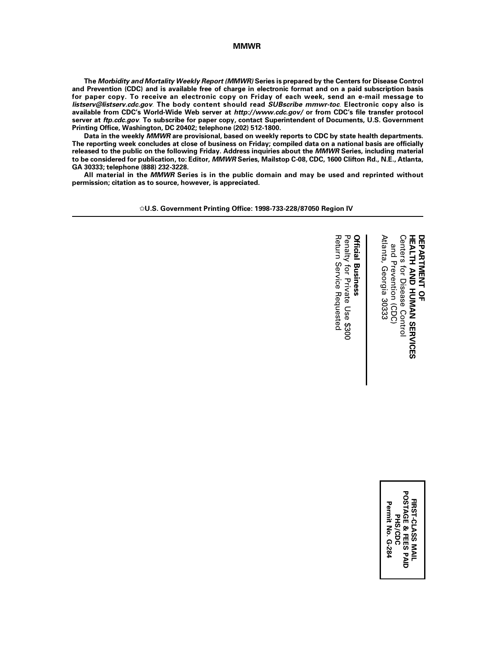### **MMWR**

**The Morbidity and Mortality Weekly Report (MMWR) Series is prepared by the Centers for Disease Control and Prevention (CDC) and is available free of charge in electronic format and on a paid subscription basis for paper copy. To receive an electronic copy on Friday of each week, send an e-mail message to listserv@listserv.cdc.gov**. **The body content should read SUBscribe mmwr-toc**. **Electronic copy also is available from CDC's World-Wide Web server at http://www.cdc.gov/ or from CDC's file transfer protocol server at ftp.cdc.gov**. **To subscribe for paper copy, contact Superintendent of Documents, U.S. Government Printing Office, Washington, DC 20402; telephone (202) 512-1800.**

**Data in the weekly MMWR are provisional, based on weekly reports to CDC by state health departments. The reporting week concludes at close of business on Friday; compiled data on a national basis are officially released to the public on the following Friday. Address inquiries about the MMWR Series, including material to be considered for publication, to: Editor, MMWR Series, Mailstop C-08, CDC, 1600 Clifton Rd., N.E., Atlanta, GA 30333; telephone (888) 232-3228.**

**All material in the MMWR Series is in the public domain and may be used and reprinted without permission; citation as to source, however, is appreciated.**

✩**U.S. Government Printing Office: 1998-733-228/87050 Region IV**

 and Prevention (CDC) Centers for Disease Control **HEALTH AND HUMAN SERVICES** Atlanta, Georgia 30333 Atlanta, Georgia 30333 Centers for Disease Control **HEALTH AND HUMAN SERVICES** and Prevention (CDC)

**DEPARTMENT OF**

DEPARTMENT OF

Return Service Requested Penalty for Private Use \$300 Official Return Service Requested Penalty for Private Use \$300 **Official Business Business** 

> **POSTAGE & FEES PAID POSTAGE & FEES PAID** FIRST-CLASS MAIL Permit No. G-284 **FIRST-CLASS MAIL Permit No. G-284** PHS/CDC **PHS/CDC**